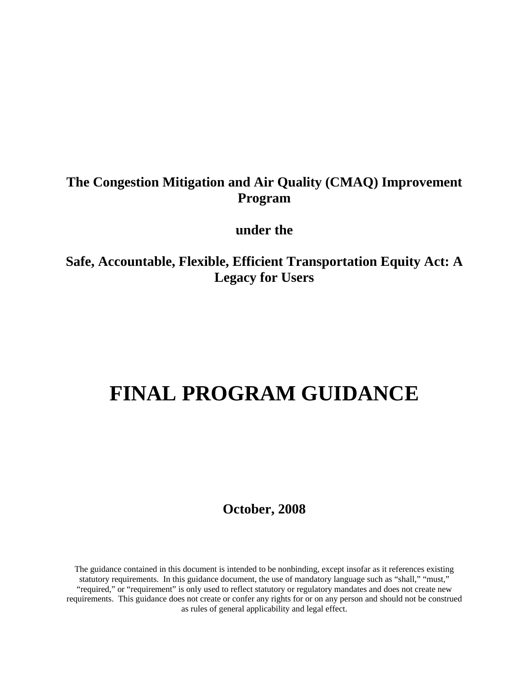# **The Congestion Mitigation and Air Quality (CMAQ) Improvement Program**

# **under the**

**Safe, Accountable, Flexible, Efficient Transportation Equity Act: A Legacy for Users** 

# **FINAL PROGRAM GUIDANCE**

**October, 2008** 

The guidance contained in this document is intended to be nonbinding, except insofar as it references existing statutory requirements. In this guidance document, the use of mandatory language such as "shall," "must," "required," or "requirement" is only used to reflect statutory or regulatory mandates and does not create new requirements. This guidance does not create or confer any rights for or on any person and should not be construed as rules of general applicability and legal effect.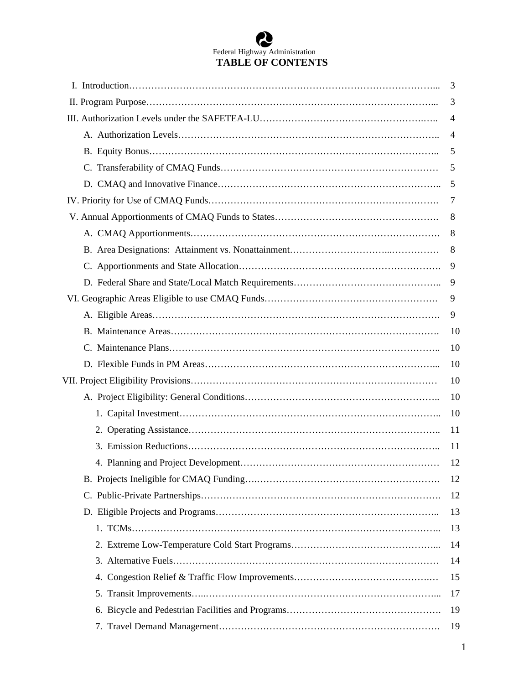# Federal Highway Administration **TABLE OF CONTENTS**

| 3  |
|----|
| 3  |
| 4  |
| 4  |
| 5  |
| 5  |
| 5  |
| 7  |
| 8  |
| 8  |
| 8  |
| 9  |
| 9  |
| 9  |
| 9  |
| 10 |
| 10 |
| 10 |
| 10 |
| 10 |
| 10 |
| 11 |
| 11 |
| 12 |
| 12 |
| 12 |
| 13 |
| 13 |
| 14 |
| 14 |
| 15 |
| 17 |
| 19 |
| 19 |
|    |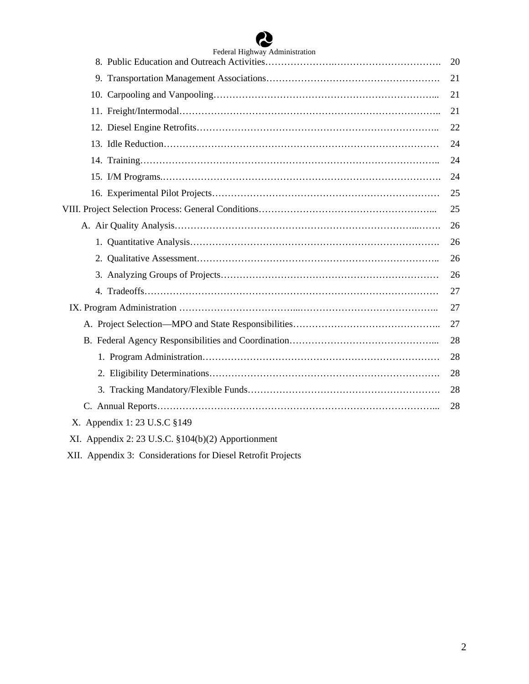# ☎

| Federal Highway Administration                     |    |
|----------------------------------------------------|----|
|                                                    | 20 |
|                                                    | 21 |
|                                                    | 21 |
|                                                    | 21 |
|                                                    | 22 |
|                                                    | 24 |
|                                                    | 24 |
|                                                    | 24 |
|                                                    | 25 |
|                                                    | 25 |
|                                                    | 26 |
|                                                    | 26 |
|                                                    | 26 |
|                                                    | 26 |
|                                                    | 27 |
|                                                    | 27 |
|                                                    | 27 |
|                                                    | 28 |
|                                                    | 28 |
|                                                    | 28 |
|                                                    | 28 |
|                                                    | 28 |
| X. Appendix 1: 23 U.S.C §149                       |    |
| XI. Appendix 2: 23 U.S.C. §104(b)(2) Apportionment |    |

XII. Appendix 3: Considerations for Diesel Retrofit Projects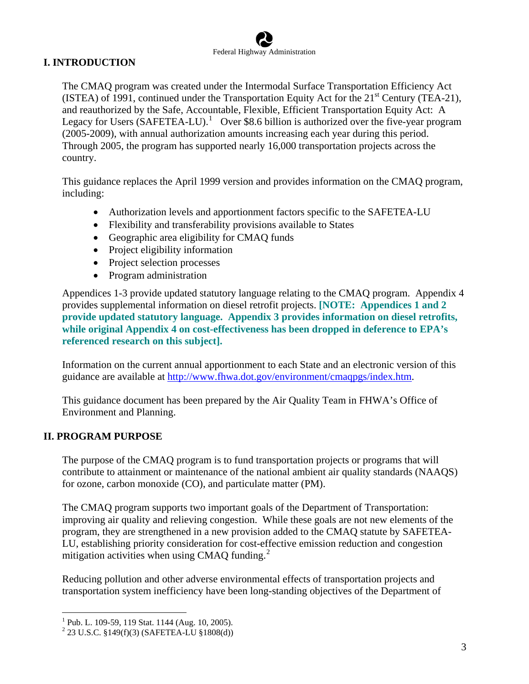# **I. INTRODUCTION**

The CMAQ program was created under the Intermodal Surface Transportation Efficiency Act (ISTEA) of 1991, continued under the Transportation Equity Act for the  $21<sup>st</sup>$  Century (TEA-21), and reauthorized by the Safe, Accountable, Flexible, Efficient Transportation Equity Act: A Legacy for Users  $(Sע $S$ AFETEA-LU $)$ .<sup>[1](#page-3-0)</sup> Over $8.6 billion is authorized over the five-year program$ (2005-2009), with annual authorization amounts increasing each year during this period. Through 2005, the program has supported nearly 16,000 transportation projects across the country.

This guidance replaces the April 1999 version and provides information on the CMAQ program, including:

- Authorization levels and apportionment factors specific to the SAFETEA-LU
- Flexibility and transferability provisions available to States
- Geographic area eligibility for CMAQ funds
- Project eligibility information
- Project selection processes
- Program administration

Appendices 1-3 provide updated statutory language relating to the CMAQ program. Appendix 4 provides supplemental information on diesel retrofit projects. **[NOTE: Appendices 1 and 2 provide updated statutory language. Appendix 3 provides information on diesel retrofits, while original Appendix 4 on cost-effectiveness has been dropped in deference to EPA's referenced research on this subject].** 

Information on the current annual apportionment to each State and an electronic version of this guidance are available at [http://www.fhwa.dot.gov/environment/cmaqpgs/index.htm.](http://www.fhwa.dot.gov/environment/cmaqpgs/index.htm)

This guidance document has been prepared by the Air Quality Team in FHWA's Office of Environment and Planning.

# **II. PROGRAM PURPOSE**

 $\overline{a}$ 

The purpose of the CMAQ program is to fund transportation projects or programs that will contribute to attainment or maintenance of the national ambient air quality standards (NAAQS) for ozone, carbon monoxide (CO), and particulate matter (PM).

The CMAQ program supports two important goals of the Department of Transportation: improving air quality and relieving congestion. While these goals are not new elements of the program, they are strengthened in a new provision added to the CMAQ statute by SAFETEA-LU, establishing priority consideration for cost-effective emission reduction and congestion mitigation activities when using CMAQ funding. $^{2}$  $^{2}$  $^{2}$ 

Reducing pollution and other adverse environmental effects of transportation projects and transportation system inefficiency have been long-standing objectives of the Department of

<span id="page-3-0"></span><sup>&</sup>lt;sup>1</sup> Pub. L. 109-59, 119 Stat. 1144 (Aug. 10, 2005).

<span id="page-3-1"></span><sup>2</sup> 23 U.S.C. §149(f)(3) (SAFETEA-LU §1808(d))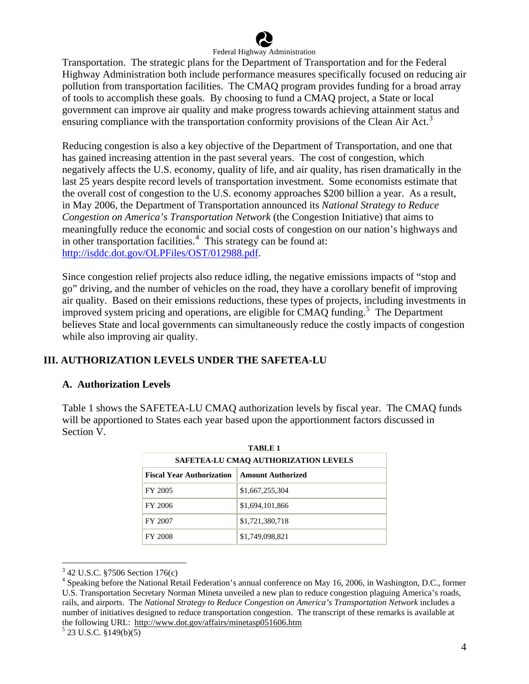

Transportation. The strategic plans for the Department of Transportation and for the Federal Highway Administration both include performance measures specifically focused on reducing air pollution from transportation facilities. The CMAQ program provides funding for a broad array of tools to accomplish these goals. By choosing to fund a CMAQ project, a State or local government can improve air quality and make progress towards achieving attainment status and ensuring compliance with the transportation conformity provisions of the Clean Air Act.<sup>[3](#page-4-0)</sup>

Reducing congestion is also a key objective of the Department of Transportation, and one that has gained increasing attention in the past several years. The cost of congestion, which negatively affects the U.S. economy, quality of life, and air quality, has risen dramatically in the last 25 years despite record levels of transportation investment. Some economists estimate that the overall cost of congestion to the U.S. economy approaches \$200 billion a year. As a result, in May 2006, the Department of Transportation announced its *National Strategy to Reduce Congestion on America's Transportation Network* (the Congestion Initiative) that aims to meaningfully reduce the economic and social costs of congestion on our nation's highways and in other transportation facilities. $4$  This strategy can be found at: [http://isddc.dot.gov/OLPFiles/OST/012988.pdf.](http://isddc.dot.gov/OLPFiles/OST/012988.pdf)

Since congestion relief projects also reduce idling, the negative emissions impacts of "stop and go" driving, and the number of vehicles on the road, they have a corollary benefit of improving air quality. Based on their emissions reductions, these types of projects, including investments in improved system pricing and operations, are eligible for CMAQ funding.<sup>[5](#page-4-2)</sup> The Department believes State and local governments can simultaneously reduce the costly impacts of congestion while also improving air quality.

# **III. AUTHORIZATION LEVELS UNDER THE SAFETEA-LU**

# **A. Authorization Levels**

Table 1 shows the SAFETEA-LU CMAQ authorization levels by fiscal year. The CMAQ funds will be apportioned to States each year based upon the apportionment factors discussed in Section V.

| TABLE <sub>1</sub><br>SAFETEA-LU CMAO AUTHORIZATION LEVELS |                 |  |  |  |
|------------------------------------------------------------|-----------------|--|--|--|
|                                                            |                 |  |  |  |
| FY 2005                                                    | \$1,667,255,304 |  |  |  |
| FY 2006                                                    | \$1,694,101,866 |  |  |  |
| FY 2007                                                    | \$1,721,380,718 |  |  |  |
| FY 2008                                                    | \$1,749,098,821 |  |  |  |

<sup>3</sup> 42 U.S.C. §7506 Section 176(c)

<span id="page-4-1"></span><span id="page-4-0"></span><sup>&</sup>lt;sup>4</sup> Speaking before the National Retail Federation's annual conference on May 16, 2006, in Washington, D.C., former U.S. Transportation Secretary Norman Mineta unveiled a new plan to reduce congestion plaguing America's roads, rails, and airports. The *National Strategy to Reduce Congestion on America's Transportation Network* includes a number of initiatives designed to reduce transportation congestion. The transcript of these remarks is available at the following URL: http://www.dot.gov/affairs/minetasp051606.htm <sup>5</sup>

<span id="page-4-2"></span> $5$  23 U.S.C. §149(b)(5)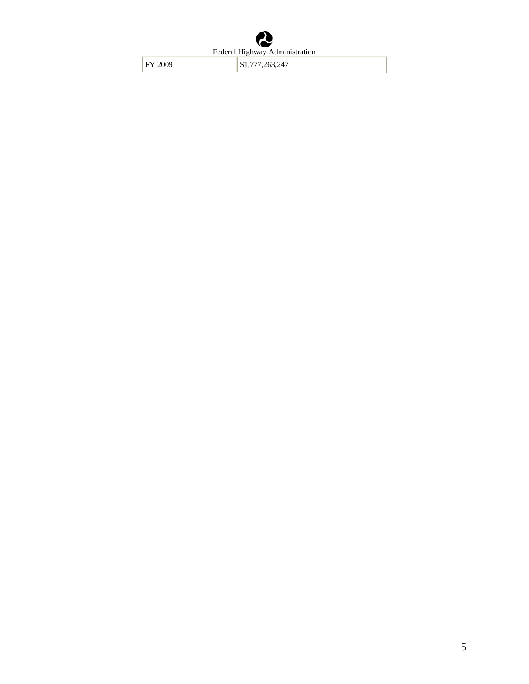FY 2009 \$1,777,263,247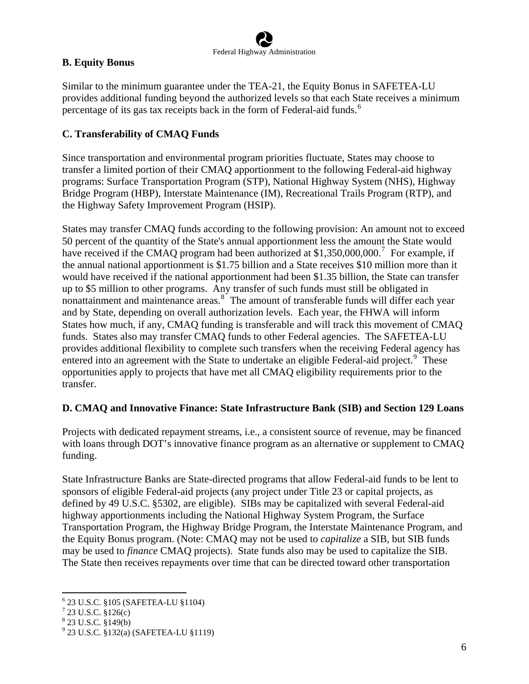# **B. Equity Bonus**

Similar to the minimum guarantee under the TEA-21, the Equity Bonus in SAFETEA-LU provides additional funding beyond the authorized levels so that each State receives a minimum percentage of its gas tax receipts back in the form of Federal-aid funds.<sup>[6](#page-6-0)</sup>

# **C. Transferability of CMAQ Funds**

Since transportation and environmental program priorities fluctuate, States may choose to transfer a limited portion of their CMAQ apportionment to the following Federal-aid highway programs: Surface Transportation Program (STP), National Highway System (NHS), Highway Bridge Program (HBP), Interstate Maintenance (IM), Recreational Trails Program (RTP), and the Highway Safety Improvement Program (HSIP).

States may transfer CMAQ funds according to the following provision: An amount not to exceed 50 percent of the quantity of the State's annual apportionment less the amount the State would have received if the CMAQ program had been authorized at \$1,350,000,000.<sup>[7](#page-6-1)</sup> For example, if the annual national apportionment is \$1.75 billion and a State receives \$10 million more than it would have received if the national apportionment had been \$1.35 billion, the State can transfer up to \$5 million to other programs. Any transfer of such funds must still be obligated in nonattainment and maintenance areas. $8^{\circ}$  $8^{\circ}$  The amount of transferable funds will differ each year and by State, depending on overall authorization levels. Each year, the FHWA will inform States how much, if any, CMAQ funding is transferable and will track this movement of CMAQ funds. States also may transfer CMAQ funds to other Federal agencies. The SAFETEA-LU provides additional flexibility to complete such transfers when the receiving Federal agency has entered into an agreement with the State to undertake an eligible Federal-aid project.<sup>[9](#page-6-3)</sup> These opportunities apply to projects that have met all CMAQ eligibility requirements prior to the transfer.

# **D. CMAQ and Innovative Finance: State Infrastructure Bank (SIB) and Section 129 Loans**

Projects with dedicated repayment streams, i.e., a consistent source of revenue, may be financed with loans through DOT's innovative finance program as an alternative or supplement to CMAQ funding.

State Infrastructure Banks are State-directed programs that allow Federal-aid funds to be lent to sponsors of eligible Federal-aid projects (any project under Title 23 or capital projects, as defined by 49 U.S.C. §5302, are eligible). SIBs may be capitalized with several Federal-aid highway apportionments including the National Highway System Program, the Surface Transportation Program, the Highway Bridge Program, the Interstate Maintenance Program, and the Equity Bonus program. (Note: CMAQ may not be used to *capitalize* a SIB, but SIB funds may be used to *finance* CMAQ projects). State funds also may be used to capitalize the SIB. The State then receives repayments over time that can be directed toward other transportation

<span id="page-6-0"></span> $\overline{a}$ 6 23 U.S.C. §105 (SAFETEA-LU §1104)

 $7$  23 U.S.C. §126(c)

<span id="page-6-3"></span><span id="page-6-2"></span><span id="page-6-1"></span><sup>8</sup> 23 U.S.C. §149(b)

<sup>9</sup> 23 U.S.C. §132(a) (SAFETEA-LU §1119)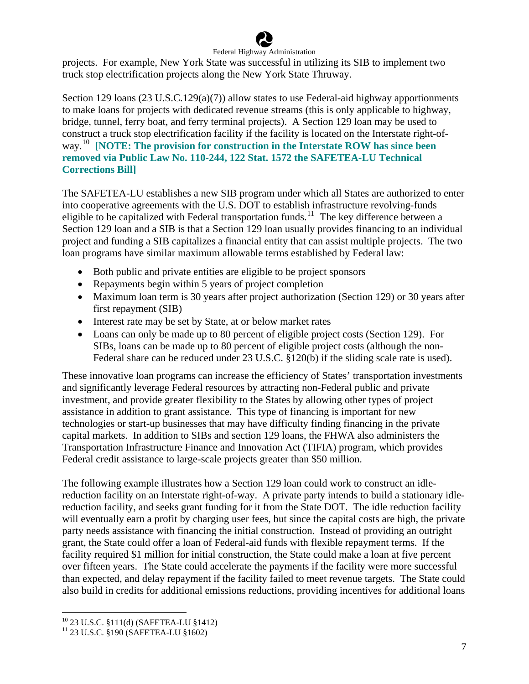

projects. For example, New York State was successful in utilizing its SIB to implement two truck stop electrification projects along the New York State Thruway.

Section 129 loans (23 U.S.C.129(a)(7)) allow states to use Federal-aid highway apportionments to make loans for projects with dedicated revenue streams (this is only applicable to highway, bridge, tunnel, ferry boat, and ferry terminal projects). A Section 129 loan may be used to construct a truck stop electrification facility if the facility is located on the Interstate right-ofway.[10](#page-7-0) **[NOTE: The provision for construction in the Interstate ROW has since been removed via Public Law No. 110-244, 122 Stat. 1572 the SAFETEA-LU Technical Corrections Bill]**

The SAFETEA-LU establishes a new SIB program under which all States are authorized to enter into cooperative agreements with the U.S. DOT to establish infrastructure revolving-funds eligible to be capitalized with Federal transportation funds.<sup>[11](#page-7-1)</sup> The key difference between a Section 129 loan and a SIB is that a Section 129 loan usually provides financing to an individual project and funding a SIB capitalizes a financial entity that can assist multiple projects. The two loan programs have similar maximum allowable terms established by Federal law:

- Both public and private entities are eligible to be project sponsors
- Repayments begin within 5 years of project completion
- Maximum loan term is 30 years after project authorization (Section 129) or 30 years after first repayment (SIB)
- Interest rate may be set by State, at or below market rates
- Loans can only be made up to 80 percent of eligible project costs (Section 129). For SIBs, loans can be made up to 80 percent of eligible project costs (although the non-Federal share can be reduced under 23 U.S.C. §120(b) if the sliding scale rate is used).

These innovative loan programs can increase the efficiency of States' transportation investments and significantly leverage Federal resources by attracting non-Federal public and private investment, and provide greater flexibility to the States by allowing other types of project assistance in addition to grant assistance. This type of financing is important for new technologies or start-up businesses that may have difficulty finding financing in the private capital markets. In addition to SIBs and section 129 loans, the FHWA also administers the Transportation Infrastructure Finance and Innovation Act (TIFIA) program, which provides Federal credit assistance to large-scale projects greater than \$50 million.

The following example illustrates how a Section 129 loan could work to construct an idlereduction facility on an Interstate right-of-way. A private party intends to build a stationary idlereduction facility, and seeks grant funding for it from the State DOT. The idle reduction facility will eventually earn a profit by charging user fees, but since the capital costs are high, the private party needs assistance with financing the initial construction. Instead of providing an outright grant, the State could offer a loan of Federal-aid funds with flexible repayment terms. If the facility required \$1 million for initial construction, the State could make a loan at five percent over fifteen years. The State could accelerate the payments if the facility were more successful than expected, and delay repayment if the facility failed to meet revenue targets. The State could also build in credits for additional emissions reductions, providing incentives for additional loans

<span id="page-7-0"></span><sup>10 23</sup> U.S.C. §111(d) (SAFETEA-LU §1412)

<span id="page-7-1"></span><sup>11 23</sup> U.S.C. §190 (SAFETEA-LU §1602)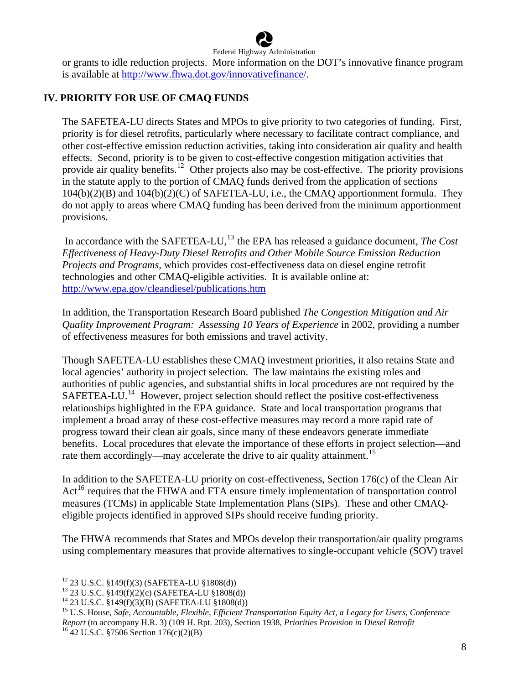

or grants to idle reduction projects. More information on the DOT's innovative finance program is available at [http://www.fhwa.dot.gov/innovativefinance/.](http://www.fhwa.dot.gov/innovativefinance/)

#### **IV. PRIORITY FOR USE OF CMAQ FUNDS**

The SAFETEA-LU directs States and MPOs to give priority to two categories of funding. First, priority is for diesel retrofits, particularly where necessary to facilitate contract compliance, and other cost-effective emission reduction activities, taking into consideration air quality and health effects. Second, priority is to be given to cost-effective congestion mitigation activities that provide air quality benefits.<sup>[12](#page-8-0)</sup> Other projects also may be cost-effective. The priority provisions in the statute apply to the portion of CMAQ funds derived from the application of sections 104(b)(2)(B) and 104(b)(2)(C) of SAFETEA-LU, i.e., the CMAQ apportionment formula. They do not apply to areas where CMAQ funding has been derived from the minimum apportionment provisions.

In accordance with the SAFETEA-LU,<sup>[13](#page-8-1)</sup> the EPA has released a guidance document, *The Cost Effectiveness of Heavy-Duty Diesel Retrofits and Other Mobile Source Emission Reduction Projects and Programs,* which provides cost-effectiveness data on diesel engine retrofit technologies and other CMAQ-eligible activities. It is available online at: <http://www.epa.gov/cleandiesel/publications.htm>

In addition, the Transportation Research Board published *The Congestion Mitigation and Air Quality Improvement Program: Assessing 10 Years of Experience* in 2002, providing a number of effectiveness measures for both emissions and travel activity.

Though SAFETEA-LU establishes these CMAQ investment priorities, it also retains State and local agencies' authority in project selection. The law maintains the existing roles and authorities of public agencies, and substantial shifts in local procedures are not required by the SAFETEA-LU.<sup>[14](#page-8-2)</sup> However, project selection should reflect the positive cost-effectiveness relationships highlighted in the EPA guidance. State and local transportation programs that implement a broad array of these cost-effective measures may record a more rapid rate of progress toward their clean air goals, since many of these endeavors generate immediate benefits. Local procedures that elevate the importance of these efforts in project selection—and rate them accordingly—may accelerate the drive to air quality attainment.<sup>[15](#page-8-3)</sup>

In addition to the SAFETEA-LU priority on cost-effectiveness, Section 176(c) of the Clean Air Act<sup>[16](#page-8-4)</sup> requires that the FHWA and FTA ensure timely implementation of transportation control measures (TCMs) in applicable State Implementation Plans (SIPs). These and other CMAQeligible projects identified in approved SIPs should receive funding priority.

The FHWA recommends that States and MPOs develop their transportation/air quality programs using complementary measures that provide alternatives to single-occupant vehicle (SOV) travel

<span id="page-8-4"></span>

<span id="page-8-0"></span><sup>12 23</sup> U.S.C. §149(f)(3) (SAFETEA-LU §1808(d))

<sup>13 23</sup> U.S.C. §149(f)(2)(c) (SAFETEA-LU §1808(d))

<span id="page-8-2"></span><span id="page-8-1"></span><sup>14 23</sup> U.S.C. §149(f)(3)(B) (SAFETEA-LU §1808(d))

<span id="page-8-3"></span><sup>15</sup> U.S. House, *Safe, Accountable, Flexible, Efficient Transportation Equity Act, a Legacy for Users, Conference Report* (to accompany H.R. 3) (109 H. Rpt. 203), Section 1938, *Priorities Provision in Diesel Retrofit* 16 42 U.S.C. §7506 Section 176(c)(2)(B)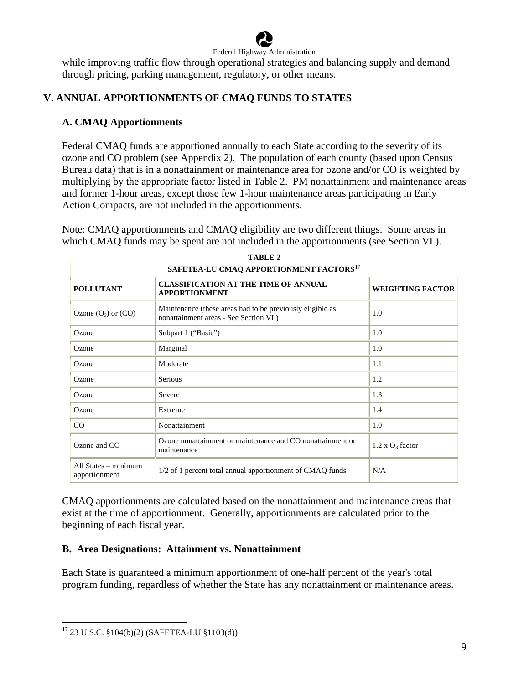

while improving traffic flow through operational strategies and balancing supply and demand through pricing, parking management, regulatory, or other means.

# **V. ANNUAL APPORTIONMENTS OF CMAQ FUNDS TO STATES**

# **A. CMAQ Apportionments**

Federal CMAQ funds are apportioned annually to each State according to the severity of its ozone and CO problem (see Appendix 2). The population of each county (based upon Census Bureau data) that is in a nonattainment or maintenance area for ozone and/or CO is weighted by multiplying by the appropriate factor listed in Table 2. PM nonattainment and maintenance areas and former 1-hour areas, except those few 1-hour maintenance areas participating in Early Action Compacts, are not included in the apportionments.

Note: CMAQ apportionments and CMAQ eligibility are two different things. Some areas in which CMAQ funds may be spent are not included in the apportionments (see Section VI.).

**TABLE 2** 

| SAFETEA-LU CMAQ APPORTIONMENT FACTORS <sup>17</sup> |                                                                                                     |                         |  |  |
|-----------------------------------------------------|-----------------------------------------------------------------------------------------------------|-------------------------|--|--|
| <b>POLLUTANT</b>                                    | <b>CLASSIFICATION AT THE TIME OF ANNUAL</b><br><b>APPORTIONMENT</b>                                 | <b>WEIGHTING FACTOR</b> |  |  |
| Ozone $(O_3)$ or $(CO)$                             | Maintenance (these areas had to be previously eligible as<br>nonattainment areas - See Section VI.) | 1.0                     |  |  |
| Ozone                                               | Subpart 1 ("Basic")                                                                                 | 1.0                     |  |  |
| Ozone                                               | Marginal                                                                                            | 1.0                     |  |  |
| Ozone                                               | Moderate                                                                                            | 1.1                     |  |  |
| Ozone                                               | <b>Serious</b>                                                                                      | 1.2                     |  |  |
| Ozone                                               | Severe                                                                                              | 1.3                     |  |  |
| Ozone                                               | Extreme                                                                                             | 1.4                     |  |  |
| CO                                                  | Nonattainment                                                                                       | 1.0                     |  |  |
| Ozone and $CO$                                      | Ozone nonattainment or maintenance and CO nonattainment or<br>maintenance                           | $1.2 \times O_3$ factor |  |  |
| All States $-$ minimum<br>apportionment             | 1/2 of 1 percent total annual apportionment of CMAQ funds                                           | N/A                     |  |  |

CMAQ apportionments are calculated based on the nonattainment and maintenance areas that exist at the time of apportionment. Generally, apportionments are calculated prior to the beginning of each fiscal year.

# **B. Area Designations: Attainment vs. Nonattainment**

Each State is guaranteed a minimum apportionment of one-half percent of the year's total program funding, regardless of whether the State has any nonattainment or maintenance areas.

<span id="page-9-0"></span><sup>17 23</sup> U.S.C. §104(b)(2) (SAFETEA-LU §1103(d))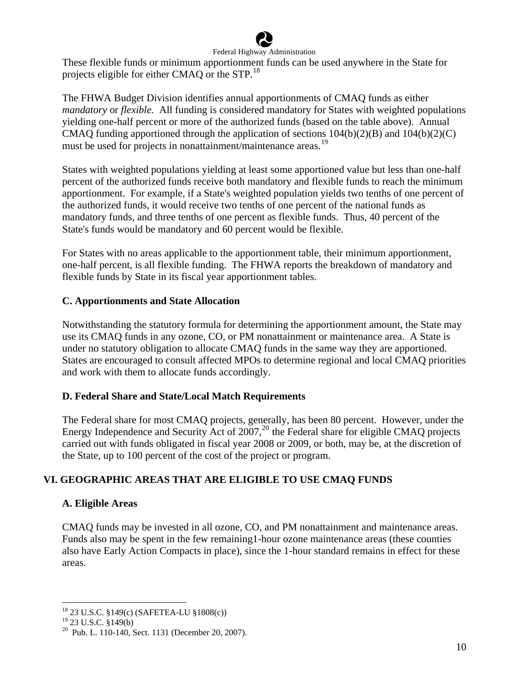

These flexible funds or minimum apportionment funds can be used anywhere in the State for projects eligible for either CMAQ or the STP.[18](#page-10-0)

The FHWA Budget Division identifies annual apportionments of CMAQ funds as either *mandatory* or *flexible.* All funding is considered mandatory for States with weighted populations yielding one-half percent or more of the authorized funds (based on the table above). Annual CMAO funding apportioned through the application of sections  $104(b)(2)(B)$  and  $104(b)(2)(C)$ must be used for projects in nonattainment/maintenance areas.<sup>[19](#page-10-1)</sup>

States with weighted populations yielding at least some apportioned value but less than one-half percent of the authorized funds receive both mandatory and flexible funds to reach the minimum apportionment. For example, if a State's weighted population yields two tenths of one percent of the authorized funds, it would receive two tenths of one percent of the national funds as mandatory funds, and three tenths of one percent as flexible funds. Thus, 40 percent of the State's funds would be mandatory and 60 percent would be flexible.

For States with no areas applicable to the apportionment table, their minimum apportionment, one-half percent, is all flexible funding. The FHWA reports the breakdown of mandatory and flexible funds by State in its fiscal year apportionment tables.

# **C. Apportionments and State Allocation**

Notwithstanding the statutory formula for determining the apportionment amount, the State may use its CMAQ funds in any ozone, CO, or PM nonattainment or maintenance area. A State is under no statutory obligation to allocate CMAQ funds in the same way they are apportioned. States are encouraged to consult affected MPOs to determine regional and local CMAQ priorities and work with them to allocate funds accordingly.

# **D. Federal Share and State/Local Match Requirements**

The Federal share for most CMAQ projects, generally, has been 80 percent. However, under the Energy Independence and Security Act of  $2007$  $2007$ ,<sup>20</sup> the Federal share for eligible CMAQ projects carried out with funds obligated in fiscal year 2008 or 2009, or both, may be, at the discretion of the State, up to 100 percent of the cost of the project or program.

# **VI. GEOGRAPHIC AREAS THAT ARE ELIGIBLE TO USE CMAQ FUNDS**

# **A. Eligible Areas**

CMAQ funds may be invested in all ozone, CO, and PM nonattainment and maintenance areas. Funds also may be spent in the few remaining1-hour ozone maintenance areas (these counties also have Early Action Compacts in place), since the 1-hour standard remains in effect for these areas.

<span id="page-10-0"></span><sup>18 23</sup> U.S.C. §149(c) (SAFETEA-LU §1808(c))

<span id="page-10-1"></span> $19$  23 U.S.C. §149(b)

<span id="page-10-2"></span> $20$  Pub. L. 110-140, Sect. 1131 (December 20, 2007).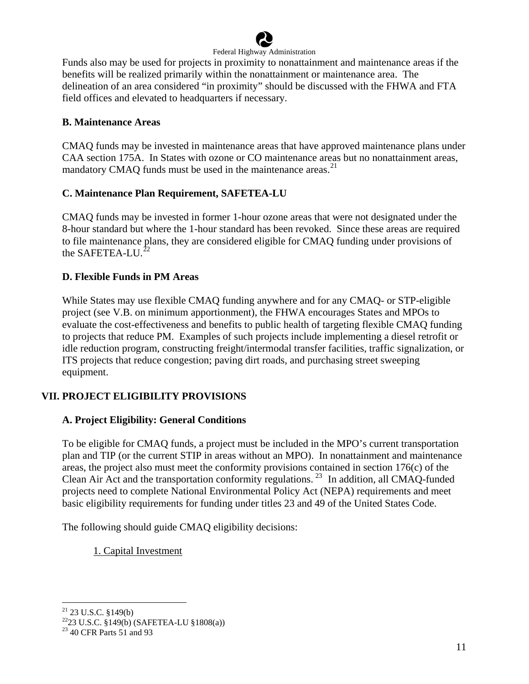

Funds also may be used for projects in proximity to nonattainment and maintenance areas if the benefits will be realized primarily within the nonattainment or maintenance area. The delineation of an area considered "in proximity" should be discussed with the FHWA and FTA field offices and elevated to headquarters if necessary.

#### **B. Maintenance Areas**

CMAQ funds may be invested in maintenance areas that have approved maintenance plans under CAA section 175A. In States with ozone or CO maintenance areas but no nonattainment areas, mandatory CMAQ funds must be used in the maintenance areas.<sup>[21](#page-11-0)</sup>

# **C. Maintenance Plan Requirement, SAFETEA-LU**

CMAQ funds may be invested in former 1-hour ozone areas that were not designated under the 8-hour standard but where the 1-hour standard has been revoked. Since these areas are required to file maintenance plans, they are considered eligible for CMAQ funding under provisions of the SAFETEA-LU.<sup>2</sup>

#### **D. Flexible Funds in PM Areas**

While States may use flexible CMAQ funding anywhere and for any CMAQ- or STP-eligible project (see V.B. on minimum apportionment), the FHWA encourages States and MPOs to evaluate the cost-effectiveness and benefits to public health of targeting flexible CMAQ funding to projects that reduce PM. Examples of such projects include implementing a diesel retrofit or idle reduction program, constructing freight/intermodal transfer facilities, traffic signalization, or ITS projects that reduce congestion; paving dirt roads, and purchasing street sweeping equipment.

# **VII. PROJECT ELIGIBILITY PROVISIONS**

# **A. Project Eligibility: General Conditions**

To be eligible for CMAQ funds, a project must be included in the MPO's current transportation plan and TIP (or the current STIP in areas without an MPO). In nonattainment and maintenance areas, the project also must meet the conformity provisions contained in section 176(c) of the Clean Air Act and the transportation conformity regulations. [23](#page-11-2) In addition, all CMAQ-funded projects need to complete National Environmental Policy Act (NEPA) requirements and meet basic eligibility requirements for funding under titles 23 and 49 of the United States Code.

The following should guide CMAQ eligibility decisions:

1. Capital Investment

 $21$  23 U.S.C. §149(b)

<span id="page-11-1"></span><span id="page-11-0"></span> $^{22}$ 23 U.S.C.  $\frac{8149(b)}{24}$  (SAFETEA-LU  $\frac{181808(a)}{24}$ 

<span id="page-11-2"></span><sup>23 40</sup> CFR Parts 51 and 93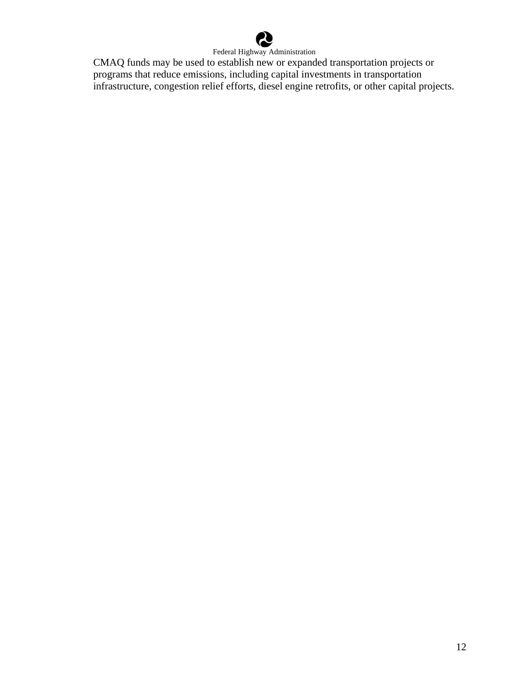

CMAQ funds may be used to establish new or expanded transportation projects or programs that reduce emissions, including capital investments in transportation infrastructure, congestion relief efforts, diesel engine retrofits, or other capital projects.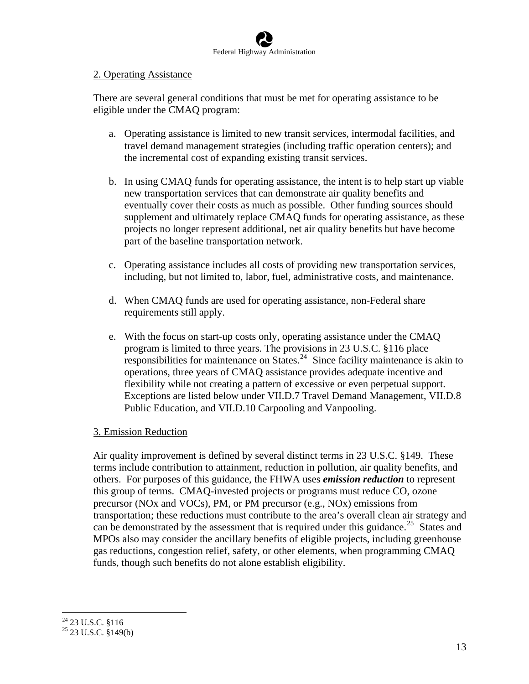

#### 2. Operating Assistance

There are several general conditions that must be met for operating assistance to be eligible under the CMAQ program:

- a. Operating assistance is limited to new transit services, intermodal facilities, and travel demand management strategies (including traffic operation centers); and the incremental cost of expanding existing transit services.
- b. In using CMAQ funds for operating assistance, the intent is to help start up viable new transportation services that can demonstrate air quality benefits and eventually cover their costs as much as possible. Other funding sources should supplement and ultimately replace CMAQ funds for operating assistance, as these projects no longer represent additional, net air quality benefits but have become part of the baseline transportation network.
- c. Operating assistance includes all costs of providing new transportation services, including, but not limited to, labor, fuel, administrative costs, and maintenance.
- d. When CMAQ funds are used for operating assistance, non-Federal share requirements still apply.
- e. With the focus on start-up costs only, operating assistance under the CMAQ program is limited to three years. The provisions in 23 U.S.C. §116 place responsibilities for maintenance on States. $24$  Since facility maintenance is akin to operations, three years of CMAQ assistance provides adequate incentive and flexibility while not creating a pattern of excessive or even perpetual support. Exceptions are listed below under VII.D.7 Travel Demand Management, VII.D.8 Public Education, and VII.D.10 Carpooling and Vanpooling.

# 3. Emission Reduction

Air quality improvement is defined by several distinct terms in 23 U.S.C. §149. These terms include contribution to attainment, reduction in pollution, air quality benefits, and others. For purposes of this guidance, the FHWA uses *emission reduction* to represent this group of terms. CMAQ-invested projects or programs must reduce CO, ozone precursor (NOx and VOCs), PM, or PM precursor (e.g., NOx) emissions from transportation; these reductions must contribute to the area's overall clean air strategy and can be demonstrated by the assessment that is required under this guidance.<sup>[25](#page-13-1)</sup> States and MPOs also may consider the ancillary benefits of eligible projects, including greenhouse gas reductions, congestion relief, safety, or other elements, when programming CMAQ funds, though such benefits do not alone establish eligibility.

<span id="page-13-0"></span> $24$  23 U.S.C. §116

<span id="page-13-1"></span> $25$  23 U.S.C. §149(b)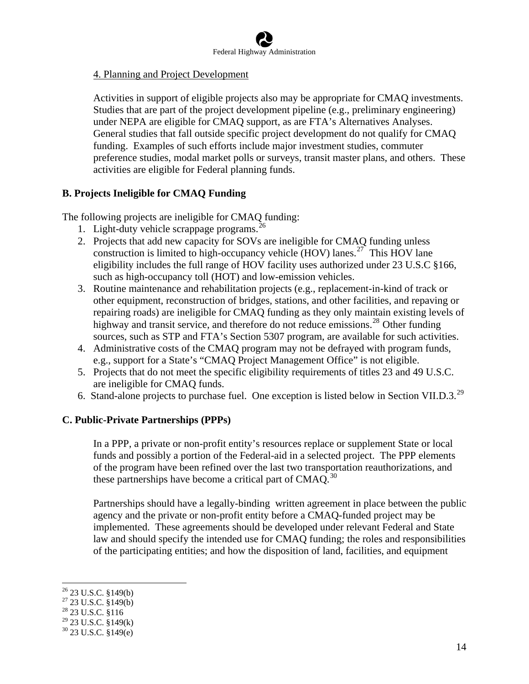#### 4. Planning and Project Development

Activities in support of eligible projects also may be appropriate for CMAQ investments. Studies that are part of the project development pipeline (e.g., preliminary engineering) under NEPA are eligible for CMAQ support, as are FTA's Alternatives Analyses. General studies that fall outside specific project development do not qualify for CMAQ funding. Examples of such efforts include major investment studies, commuter preference studies, modal market polls or surveys, transit master plans, and others. These activities are eligible for Federal planning funds.

#### **B. Projects Ineligible for CMAQ Funding**

The following projects are ineligible for CMAQ funding:

- 1. Light-duty vehicle scrappage programs.  $^{26}$  $^{26}$  $^{26}$
- 2. Projects that add new capacity for SOVs are ineligible for CMAQ funding unless construction is limited to high-occupancy vehicle (HOV) lanes.<sup>[27](#page-14-1)</sup> This HOV lane eligibility includes the full range of HOV facility uses authorized under 23 U.S.C §166, such as high-occupancy toll (HOT) and low-emission vehicles.
- 3. Routine maintenance and rehabilitation projects (e.g., replacement-in-kind of track or other equipment, reconstruction of bridges, stations, and other facilities, and repaving or repairing roads) are ineligible for CMAQ funding as they only maintain existing levels of highway and transit service, and therefore do not reduce emissions.<sup>[28](#page-14-2)</sup> Other funding sources, such as STP and FTA's Section 5307 program, are available for such activities.
- 4. Administrative costs of the CMAQ program may not be defrayed with program funds, e.g., support for a State's "CMAQ Project Management Office" is not eligible.
- 5. Projects that do not meet the specific eligibility requirements of titles 23 and 49 U.S.C. are ineligible for CMAQ funds.
- 6. Stand-alone projects to purchase fuel. One exception is listed below in Section VII.D.3.<sup>[29](#page-14-3)</sup>

#### **C. Public-Private Partnerships (PPPs)**

In a PPP, a private or non-profit entity's resources replace or supplement State or local funds and possibly a portion of the Federal-aid in a selected project. The PPP elements of the program have been refined over the last two transportation reauthorizations, and these partnerships have become a critical part of CMAQ.<sup>[30](#page-14-4)</sup>

Partnerships should have a legally-binding written agreement in place between the public agency and the private or non-profit entity before a CMAQ-funded project may be implemented. These agreements should be developed under relevant Federal and State law and should specify the intended use for CMAQ funding; the roles and responsibilities of the participating entities; and how the disposition of land, facilities, and equipment

 $26$  23 U.S.C. §149(b)

<span id="page-14-1"></span><span id="page-14-0"></span> $27\overline{23}$  U.S.C.  $\overline{\$149(b)}$ 

<span id="page-14-2"></span> $^{28}$  23 U.S.C. §116

<span id="page-14-3"></span> $29$  23 U.S.C. §149(k)

<span id="page-14-4"></span> $30$  23 U.S.C. §149(e)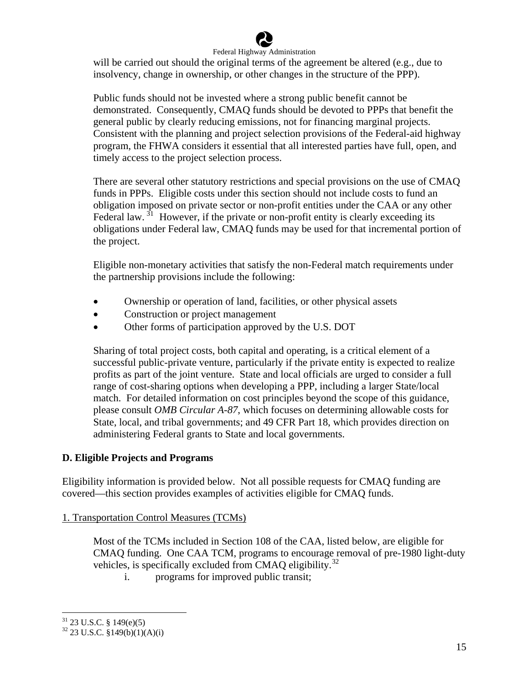

will be carried out should the original terms of the agreement be altered (e.g., due to insolvency, change in ownership, or other changes in the structure of the PPP).

Public funds should not be invested where a strong public benefit cannot be demonstrated. Consequently, CMAQ funds should be devoted to PPPs that benefit the general public by clearly reducing emissions, not for financing marginal projects. Consistent with the planning and project selection provisions of the Federal-aid highway program, the FHWA considers it essential that all interested parties have full, open, and timely access to the project selection process.

There are several other statutory restrictions and special provisions on the use of CMAQ funds in PPPs. Eligible costs under this section should not include costs to fund an obligation imposed on private sector or non-profit entities under the CAA or any other Federal law.  $31$  However, if the private or non-profit entity is clearly exceeding its obligations under Federal law, CMAQ funds may be used for that incremental portion of the project.

Eligible non-monetary activities that satisfy the non-Federal match requirements under the partnership provisions include the following:

- Ownership or operation of land, facilities, or other physical assets
- Construction or project management
- Other forms of participation approved by the U.S. DOT

Sharing of total project costs, both capital and operating, is a critical element of a successful public-private venture, particularly if the private entity is expected to realize profits as part of the joint venture. State and local officials are urged to consider a full range of cost-sharing options when developing a PPP, including a larger State/local match. For detailed information on cost principles beyond the scope of this guidance, please consult *OMB Circular A-87*, which focuses on determining allowable costs for State, local, and tribal governments; and 49 CFR Part 18, which provides direction on administering Federal grants to State and local governments.

# **D. Eligible Projects and Programs**

Eligibility information is provided below. Not all possible requests for CMAQ funding are covered—this section provides examples of activities eligible for CMAQ funds.

# 1. Transportation Control Measures (TCMs)

Most of the TCMs included in Section 108 of the CAA, listed below, are eligible for CMAQ funding. One CAA TCM, programs to encourage removal of pre-1980 light-duty vehicles, is specifically excluded from CMAQ eligibility.<sup>[32](#page-15-1)</sup>

i. programs for improved public transit;

<span id="page-15-0"></span> $31$  23 U.S.C. § 149(e)(5)

<span id="page-15-1"></span> $32$  23 U.S.C. §149(b)(1)(A)(i)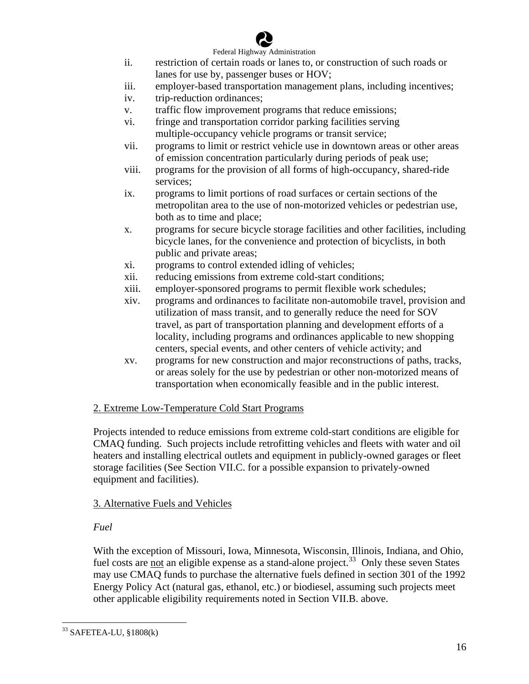

- ii. restriction of certain roads or lanes to, or construction of such roads or lanes for use by, passenger buses or HOV;
- iii. employer-based transportation management plans, including incentives;
- iv. trip-reduction ordinances;
- v. traffic flow improvement programs that reduce emissions;
- vi. fringe and transportation corridor parking facilities serving multiple-occupancy vehicle programs or transit service;
- vii. programs to limit or restrict vehicle use in downtown areas or other areas of emission concentration particularly during periods of peak use;
- viii. programs for the provision of all forms of high-occupancy, shared-ride services;
- ix. programs to limit portions of road surfaces or certain sections of the metropolitan area to the use of non-motorized vehicles or pedestrian use, both as to time and place;
- x. programs for secure bicycle storage facilities and other facilities, including bicycle lanes, for the convenience and protection of bicyclists, in both public and private areas;
- xi. programs to control extended idling of vehicles;
- xii. reducing emissions from extreme cold-start conditions;
- xiii. employer-sponsored programs to permit flexible work schedules;
- xiv. programs and ordinances to facilitate non-automobile travel, provision and utilization of mass transit, and to generally reduce the need for SOV travel, as part of transportation planning and development efforts of a locality, including programs and ordinances applicable to new shopping centers, special events, and other centers of vehicle activity; and
- xv. programs for new construction and major reconstructions of paths, tracks, or areas solely for the use by pedestrian or other non-motorized means of transportation when economically feasible and in the public interest.

#### 2. Extreme Low-Temperature Cold Start Programs

Projects intended to reduce emissions from extreme cold-start conditions are eligible for CMAQ funding. Such projects include retrofitting vehicles and fleets with water and oil heaters and installing electrical outlets and equipment in publicly-owned garages or fleet storage facilities (See Section VII.C. for a possible expansion to privately-owned equipment and facilities).

# 3. Alternative Fuels and Vehicles

# *Fuel*

With the exception of Missouri, Iowa, Minnesota, Wisconsin, Illinois, Indiana, and Ohio, fuel costs are not an eligible expense as a stand-alone project.<sup>[33](#page-16-0)</sup> Only these seven States may use CMAQ funds to purchase the alternative fuels defined in section 301 of the 1992 Energy Policy Act (natural gas, ethanol, etc.) or biodiesel, assuming such projects meet other applicable eligibility requirements noted in Section VII.B. above.

<span id="page-16-0"></span><sup>33</sup> SAFETEA-LU, §1808(k)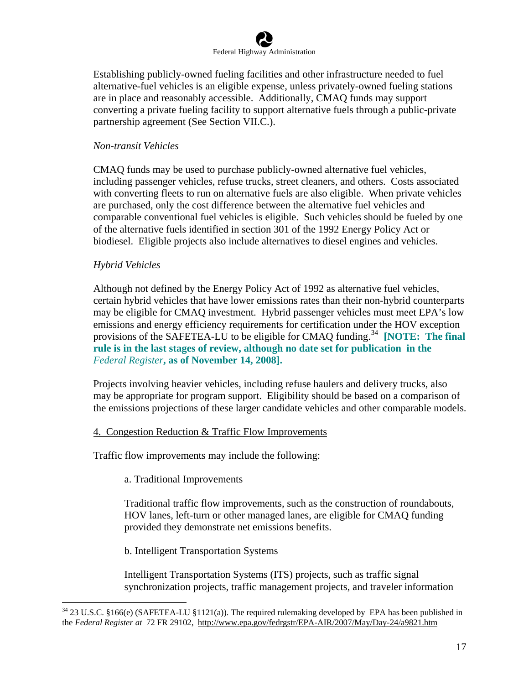Establishing publicly-owned fueling facilities and other infrastructure needed to fuel alternative-fuel vehicles is an eligible expense, unless privately-owned fueling stations are in place and reasonably accessible. Additionally, CMAQ funds may support converting a private fueling facility to support alternative fuels through a public-private partnership agreement (See Section VII.C.).

# *Non-transit Vehicles*

CMAQ funds may be used to purchase publicly-owned alternative fuel vehicles, including passenger vehicles, refuse trucks, street cleaners, and others. Costs associated with converting fleets to run on alternative fuels are also eligible. When private vehicles are purchased, only the cost difference between the alternative fuel vehicles and comparable conventional fuel vehicles is eligible. Such vehicles should be fueled by one of the alternative fuels identified in section 301 of the 1992 Energy Policy Act or biodiesel. Eligible projects also include alternatives to diesel engines and vehicles.

# *Hybrid Vehicles*

Although not defined by the Energy Policy Act of 1992 as alternative fuel vehicles, certain hybrid vehicles that have lower emissions rates than their non-hybrid counterparts may be eligible for CMAQ investment. Hybrid passenger vehicles must meet EPA's low emissions and energy efficiency requirements for certification under the HOV exception provisions of the SAFETEA-LU to be eligible for CMAQ funding.<sup>[34](#page-17-0)</sup> **[NOTE: The final rule is in the last stages of review, although no date set for publication in the**  *Federal Register***, as of November 14, 2008].** 

Projects involving heavier vehicles, including refuse haulers and delivery trucks, also may be appropriate for program support. Eligibility should be based on a comparison of the emissions projections of these larger candidate vehicles and other comparable models.

# 4. Congestion Reduction & Traffic Flow Improvements

Traffic flow improvements may include the following:

a. Traditional Improvements

Traditional traffic flow improvements, such as the construction of roundabouts, HOV lanes, left-turn or other managed lanes, are eligible for CMAQ funding provided they demonstrate net emissions benefits.

b. Intelligent Transportation Systems

Intelligent Transportation Systems (ITS) projects, such as traffic signal synchronization projects, traffic management projects, and traveler information

<span id="page-17-0"></span> $\overline{a}$ <sup>34</sup> 23 U.S.C. §166(e) (SAFETEA-LU §1121(a)). The required rulemaking developed by EPA has been published in the *Federal Register at* 72 FR 29102, http://www.epa.gov/fedrgstr/EPA-AIR/2007/May/Day-24/a9821.htm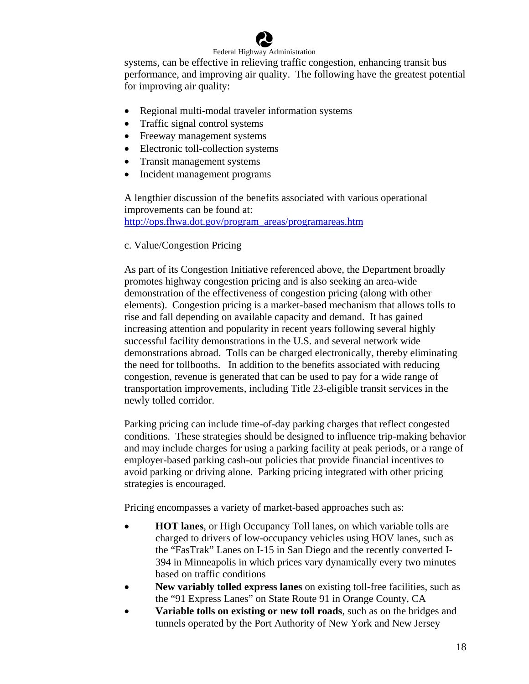

systems, can be effective in relieving traffic congestion, enhancing transit bus performance, and improving air quality. The following have the greatest potential for improving air quality:

- Regional multi-modal traveler information systems
- Traffic signal control systems
- Freeway management systems
- Electronic toll-collection systems
- Transit management systems
- Incident management programs

A lengthier discussion of the benefits associated with various operational improvements can be found at: [http://ops.fhwa.dot.gov/program\\_areas/programareas.htm](http://ops.fhwa.dot.gov/program_areas/programareas.htm)

#### c. Value/Congestion Pricing

As part of its Congestion Initiative referenced above, the Department broadly promotes highway congestion pricing and is also seeking an area-wide demonstration of the effectiveness of congestion pricing (along with other elements). Congestion pricing is a market-based mechanism that allows tolls to rise and fall depending on available capacity and demand. It has gained increasing attention and popularity in recent years following several highly successful facility demonstrations in the U.S. and several network wide demonstrations abroad. Tolls can be charged electronically, thereby eliminating the need for tollbooths. In addition to the benefits associated with reducing congestion, revenue is generated that can be used to pay for a wide range of transportation improvements, including Title 23-eligible transit services in the newly tolled corridor.

Parking pricing can include time-of-day parking charges that reflect congested conditions. These strategies should be designed to influence trip-making behavior and may include charges for using a parking facility at peak periods, or a range of employer-based parking cash-out policies that provide financial incentives to avoid parking or driving alone. Parking pricing integrated with other pricing strategies is encouraged.

Pricing encompasses a variety of market-based approaches such as:

- **HOT lanes**, or High Occupancy Toll lanes, on which variable tolls are charged to drivers of low-occupancy vehicles using HOV lanes, such as the "FasTrak" Lanes on I-15 in San Diego and the recently converted I-394 in Minneapolis in which prices vary dynamically every two minutes based on traffic conditions
- **New variably tolled express lanes** on existing toll-free facilities, such as the "91 Express Lanes" on State Route 91 in Orange County, CA
- **Variable tolls on existing or new toll roads**, such as on the bridges and tunnels operated by the Port Authority of New York and New Jersey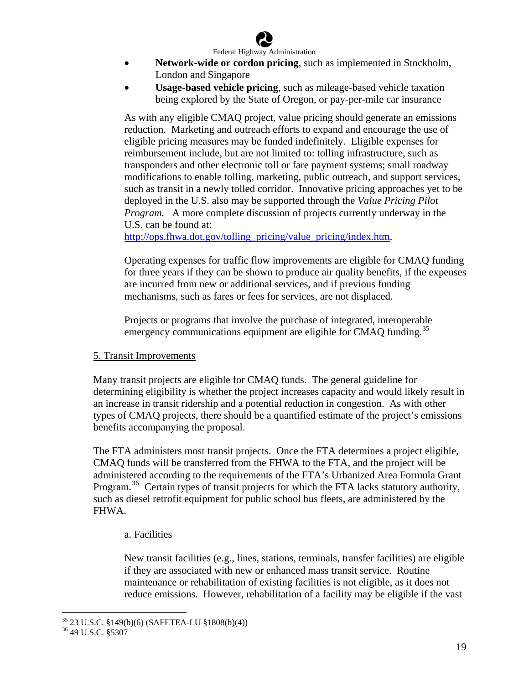

- **Network-wide or cordon pricing**, such as implemented in Stockholm, London and Singapore
- **Usage-based vehicle pricing**, such as mileage-based vehicle taxation being explored by the State of Oregon, or pay-per-mile car insurance

As with any eligible CMAQ project, value pricing should generate an emissions reduction. Marketing and outreach efforts to expand and encourage the use of eligible pricing measures may be funded indefinitely. Eligible expenses for reimbursement include, but are not limited to: tolling infrastructure, such as transponders and other electronic toll or fare payment systems; small roadway modifications to enable tolling, marketing, public outreach, and support services, such as transit in a newly tolled corridor. Innovative pricing approaches yet to be deployed in the U.S. also may be supported through the *Value Pricing Pilot Program.* A more complete discussion of projects currently underway in the U.S. can be found at:

[http://ops.fhwa.dot.gov/tolling\\_pricing/value\\_pricing/index.htm](http://ops.fhwa.dot.gov/tolling_pricing/value_pricing/index.htm).

Operating expenses for traffic flow improvements are eligible for CMAQ funding for three years if they can be shown to produce air quality benefits, if the expenses are incurred from new or additional services, and if previous funding mechanisms, such as fares or fees for services, are not displaced.

Projects or programs that involve the purchase of integrated, interoperable emergency communications equipment are eligible for CMAQ funding.<sup>[35](#page-19-0)</sup>

#### 5. Transit Improvements

Many transit projects are eligible for CMAQ funds. The general guideline for determining eligibility is whether the project increases capacity and would likely result in an increase in transit ridership and a potential reduction in congestion. As with other types of CMAQ projects, there should be a quantified estimate of the project's emissions benefits accompanying the proposal.

The FTA administers most transit projects. Once the FTA determines a project eligible, CMAQ funds will be transferred from the FHWA to the FTA, and the project will be administered according to the requirements of the FTA's Urbanized Area Formula Grant Program.<sup>[36](#page-19-1)</sup> Certain types of transit projects for which the FTA lacks statutory authority, such as diesel retrofit equipment for public school bus fleets, are administered by the FHWA.

#### a. Facilities

New transit facilities (e.g., lines, stations, terminals, transfer facilities) are eligible if they are associated with new or enhanced mass transit service. Routine maintenance or rehabilitation of existing facilities is not eligible, as it does not reduce emissions. However, rehabilitation of a facility may be eligible if the vast

1

<span id="page-19-0"></span><sup>35 23</sup> U.S.C. §149(b)(6) (SAFETEA-LU §1808(b)(4))

<span id="page-19-1"></span><sup>36 49</sup> U.S.C. §5307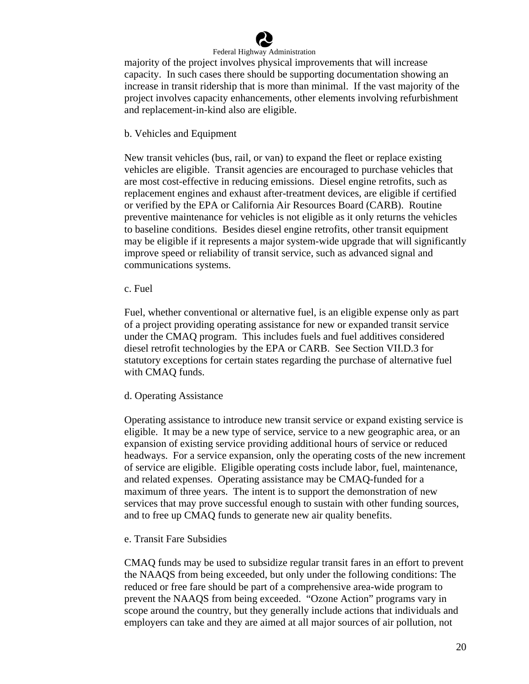

majority of the project involves physical improvements that will increase capacity. In such cases there should be supporting documentation showing an increase in transit ridership that is more than minimal. If the vast majority of the project involves capacity enhancements, other elements involving refurbishment and replacement-in-kind also are eligible.

#### b. Vehicles and Equipment

New transit vehicles (bus, rail, or van) to expand the fleet or replace existing vehicles are eligible. Transit agencies are encouraged to purchase vehicles that are most cost-effective in reducing emissions. Diesel engine retrofits, such as replacement engines and exhaust after-treatment devices, are eligible if certified or verified by the EPA or California Air Resources Board (CARB). Routine preventive maintenance for vehicles is not eligible as it only returns the vehicles to baseline conditions. Besides diesel engine retrofits, other transit equipment may be eligible if it represents a major system-wide upgrade that will significantly improve speed or reliability of transit service, such as advanced signal and communications systems.

#### c. Fuel

Fuel, whether conventional or alternative fuel, is an eligible expense only as part of a project providing operating assistance for new or expanded transit service under the CMAQ program. This includes fuels and fuel additives considered diesel retrofit technologies by the EPA or CARB. See Section VII.D.3 for statutory exceptions for certain states regarding the purchase of alternative fuel with CMAQ funds.

#### d. Operating Assistance

Operating assistance to introduce new transit service or expand existing service is eligible. It may be a new type of service, service to a new geographic area, or an expansion of existing service providing additional hours of service or reduced headways. For a service expansion, only the operating costs of the new increment of service are eligible. Eligible operating costs include labor, fuel, maintenance, and related expenses. Operating assistance may be CMAQ-funded for a maximum of three years. The intent is to support the demonstration of new services that may prove successful enough to sustain with other funding sources, and to free up CMAQ funds to generate new air quality benefits.

#### e. Transit Fare Subsidies

CMAQ funds may be used to subsidize regular transit fares in an effort to prevent the NAAQS from being exceeded, but only under the following conditions: The reduced or free fare should be part of a comprehensive area-wide program to prevent the NAAQS from being exceeded. "Ozone Action" programs vary in scope around the country, but they generally include actions that individuals and employers can take and they are aimed at all major sources of air pollution, not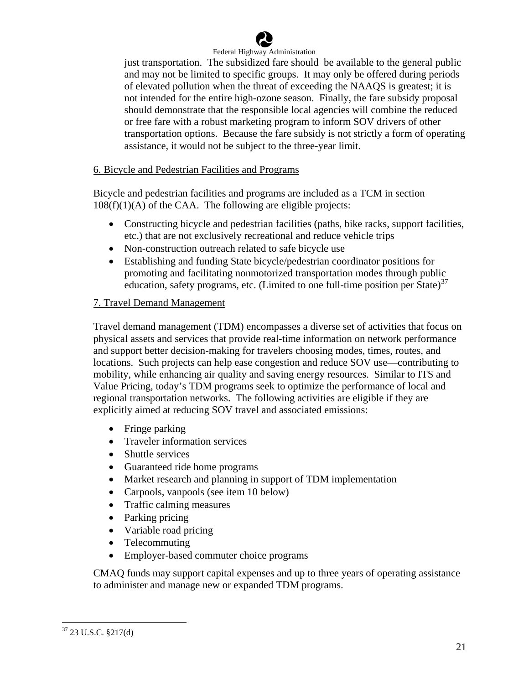

just transportation. The subsidized fare should be available to the general public and may not be limited to specific groups. It may only be offered during periods of elevated pollution when the threat of exceeding the NAAQS is greatest; it is not intended for the entire high-ozone season. Finally, the fare subsidy proposal should demonstrate that the responsible local agencies will combine the reduced or free fare with a robust marketing program to inform SOV drivers of other transportation options. Because the fare subsidy is not strictly a form of operating assistance, it would not be subject to the three-year limit.

#### 6. Bicycle and Pedestrian Facilities and Programs

Bicycle and pedestrian facilities and programs are included as a TCM in section  $108(f)(1)(A)$  of the CAA. The following are eligible projects:

- Constructing bicycle and pedestrian facilities (paths, bike racks, support facilities, etc.) that are not exclusively recreational and reduce vehicle trips
- Non-construction outreach related to safe bicycle use
- Establishing and funding State bicycle/pedestrian coordinator positions for promoting and facilitating nonmotorized transportation modes through public education, safety programs, etc. (Limited to one full-time position per State)<sup>[37](#page-21-0)</sup>

#### 7. Travel Demand Management

Travel demand management (TDM) encompasses a diverse set of activities that focus on physical assets and services that provide real-time information on network performance and support better decision-making for travelers choosing modes, times, routes, and locations. Such projects can help ease congestion and reduce SOV use—contributing to mobility, while enhancing air quality and saving energy resources. Similar to ITS and Value Pricing, today's TDM programs seek to optimize the performance of local and regional transportation networks. The following activities are eligible if they are explicitly aimed at reducing SOV travel and associated emissions:

- Fringe parking
- Traveler information services
- Shuttle services
- Guaranteed ride home programs
- Market research and planning in support of TDM implementation
- Carpools, vanpools (see item 10 below)
- Traffic calming measures
- Parking pricing
- Variable road pricing
- Telecommuting
- Employer-based commuter choice programs

CMAQ funds may support capital expenses and up to three years of operating assistance to administer and manage new or expanded TDM programs.

<span id="page-21-0"></span> $37$  23 U.S.C. §217(d)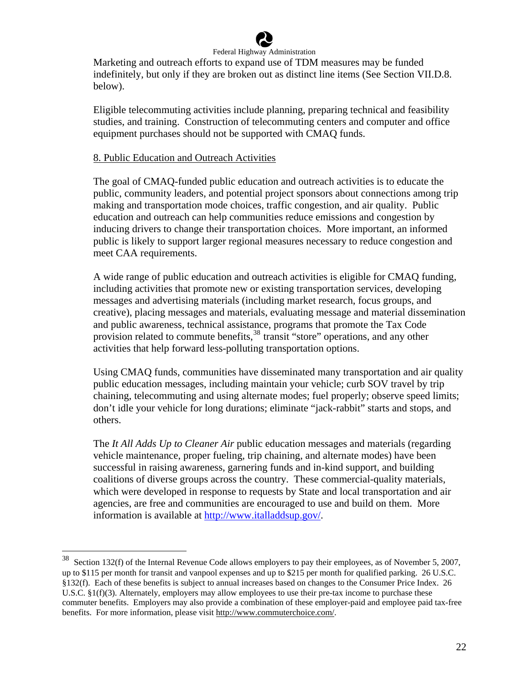

Marketing and outreach efforts to expand use of TDM measures may be funded indefinitely, but only if they are broken out as distinct line items (See Section VII.D.8. below).

Eligible telecommuting activities include planning, preparing technical and feasibility studies, and training. Construction of telecommuting centers and computer and office equipment purchases should not be supported with CMAQ funds.

#### 8. Public Education and Outreach Activities

 $\overline{a}$ 

The goal of CMAQ-funded public education and outreach activities is to educate the public, community leaders, and potential project sponsors about connections among trip making and transportation mode choices, traffic congestion, and air quality. Public education and outreach can help communities reduce emissions and congestion by inducing drivers to change their transportation choices. More important, an informed public is likely to support larger regional measures necessary to reduce congestion and meet CAA requirements.

A wide range of public education and outreach activities is eligible for CMAQ funding, including activities that promote new or existing transportation services, developing messages and advertising materials (including market research, focus groups, and creative), placing messages and materials, evaluating message and material dissemination and public awareness, technical assistance, programs that promote the Tax Code provision related to commute benefits,<sup>[38](#page-22-0)</sup> transit "store" operations, and any other activities that help forward less-polluting transportation options.

Using CMAQ funds, communities have disseminated many transportation and air quality public education messages, including maintain your vehicle; curb SOV travel by trip chaining, telecommuting and using alternate modes; fuel properly; observe speed limits; don't idle your vehicle for long durations; eliminate "jack-rabbit" starts and stops, and others.

The *It All Adds Up to Cleaner Air* public education messages and materials (regarding vehicle maintenance, proper fueling, trip chaining, and alternate modes) have been successful in raising awareness, garnering funds and in-kind support, and building coalitions of diverse groups across the country. These commercial-quality materials, which were developed in response to requests by State and local transportation and air agencies, are free and communities are encouraged to use and build on them. More information is available at <http://www.italladdsup.gov/>.

<span id="page-22-0"></span> $38$  Section 132(f) of the Internal Revenue Code allows employers to pay their employees, as of November 5, 2007, up to \$115 per month for transit and vanpool expenses and up to \$215 per month for qualified parking. 26 U.S.C. §132(f). Each of these benefits is subject to annual increases based on changes to the Consumer Price Index. 26 U.S.C.  $\S1(f)(3)$ . Alternately, employers may allow employees to use their pre-tax income to purchase these commuter benefits. Employers may also provide a combination of these employer-paid and employee paid tax-free benefits. For more information, please visit http://www.commuterchoice.com/.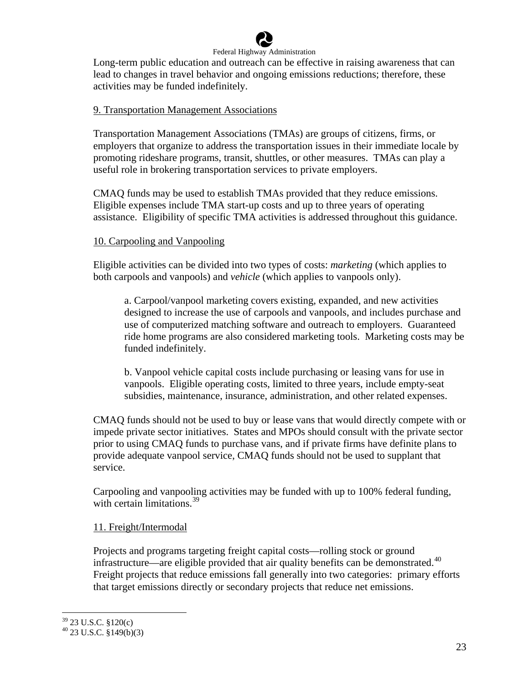

Long-term public education and outreach can be effective in raising awareness that can lead to changes in travel behavior and ongoing emissions reductions; therefore, these activities may be funded indefinitely.

#### 9. Transportation Management Associations

Transportation Management Associations (TMAs) are groups of citizens, firms, or employers that organize to address the transportation issues in their immediate locale by promoting rideshare programs, transit, shuttles, or other measures. TMAs can play a useful role in brokering transportation services to private employers.

CMAQ funds may be used to establish TMAs provided that they reduce emissions. Eligible expenses include TMA start-up costs and up to three years of operating assistance. Eligibility of specific TMA activities is addressed throughout this guidance.

#### 10. Carpooling and Vanpooling

Eligible activities can be divided into two types of costs: *marketing* (which applies to both carpools and vanpools) and *vehicle* (which applies to vanpools only).

a. Carpool/vanpool marketing covers existing, expanded, and new activities designed to increase the use of carpools and vanpools, and includes purchase and use of computerized matching software and outreach to employers. Guaranteed ride home programs are also considered marketing tools. Marketing costs may be funded indefinitely.

b. Vanpool vehicle capital costs include purchasing or leasing vans for use in vanpools. Eligible operating costs, limited to three years, include empty-seat subsidies, maintenance, insurance, administration, and other related expenses.

CMAQ funds should not be used to buy or lease vans that would directly compete with or impede private sector initiatives. States and MPOs should consult with the private sector prior to using CMAQ funds to purchase vans, and if private firms have definite plans to provide adequate vanpool service, CMAQ funds should not be used to supplant that service.

Carpooling and vanpooling activities may be funded with up to 100% federal funding, with certain limitations.<sup>[39](#page-23-0)</sup>

#### 11. Freight/Intermodal

Projects and programs targeting freight capital costs—rolling stock or ground infrastructure—are eligible provided that air quality benefits can be demonstrated. $40$ Freight projects that reduce emissions fall generally into two categories: primary efforts that target emissions directly or secondary projects that reduce net emissions.

1

<span id="page-23-0"></span> $39$  23 U.S.C. §120(c)

<span id="page-23-1"></span> $40$  23 U.S.C. §149(b)(3)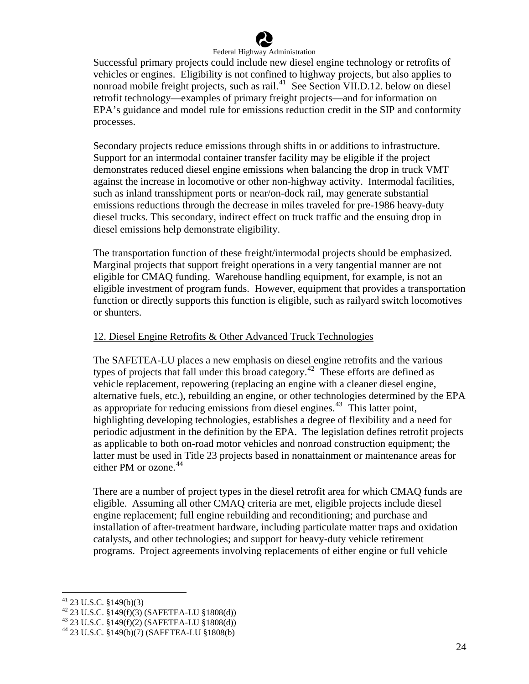

Successful primary projects could include new diesel engine technology or retrofits of vehicles or engines. Eligibility is not confined to highway projects, but also applies to nonroad mobile freight projects, such as rail. $^{41}$  $^{41}$  $^{41}$  See Section VII.D.12. below on diesel retrofit technology—examples of primary freight projects—and for information on EPA's guidance and model rule for emissions reduction credit in the SIP and conformity processes.

Secondary projects reduce emissions through shifts in or additions to infrastructure. Support for an intermodal container transfer facility may be eligible if the project demonstrates reduced diesel engine emissions when balancing the drop in truck VMT against the increase in locomotive or other non-highway activity. Intermodal facilities, such as inland transshipment ports or near/on-dock rail, may generate substantial emissions reductions through the decrease in miles traveled for pre-1986 heavy-duty diesel trucks. This secondary, indirect effect on truck traffic and the ensuing drop in diesel emissions help demonstrate eligibility.

The transportation function of these freight/intermodal projects should be emphasized. Marginal projects that support freight operations in a very tangential manner are not eligible for CMAQ funding. Warehouse handling equipment, for example, is not an eligible investment of program funds. However, equipment that provides a transportation function or directly supports this function is eligible, such as railyard switch locomotives or shunters.

#### 12. Diesel Engine Retrofits & Other Advanced Truck Technologies

The SAFETEA-LU places a new emphasis on diesel engine retrofits and the various types of projects that fall under this broad category.<sup>[42](#page-24-1)</sup> These efforts are defined as vehicle replacement, repowering (replacing an engine with a cleaner diesel engine, alternative fuels, etc.), rebuilding an engine, or other technologies determined by th e EPA as appropriate for reducing emissions from diesel engines.<sup>[43](#page-24-2)</sup> This latter point, highlighting developing technologies, establishes a degree of flexibility and a need for periodic adjustment in the definition by the EPA. The legislation defines retrofit projects either PM or ozone.<sup>44</sup> as applicable to both on-road motor vehicles and nonroad construction equipment; the latter must be used in Title 23 projects based in nonattainment or maintenance areas for

There are a number of project types in the diesel retrofit area for which CMAQ funds are eligible. Assuming all other CMAQ criteria are met, eligible projects include diesel engine replacement; full engine rebuilding and reconditioning; and purchase and installation of after-treatment hardware, including particulate matter traps and oxidation catalysts, and other technologies; and support for heavy-duty vehicle retirement programs. Project agreements involving replacements of either engine or full vehicle

 $41$  23 U.S.C. §149(b)(3)

<span id="page-24-1"></span><span id="page-24-0"></span><sup>42 23</sup> U.S.C.  $\frac{1}{2149(f)(3)}$  (SAFETEA-LU  $\frac{1}{21808(d)}$ )

<span id="page-24-2"></span><sup>43 23</sup> U.S.C. §149(f)(2) (SAFETEA-LU §1808(d))

<sup>44 23</sup> U.S.C. §149(b)(7) (SAFETEA-LU §1808(b)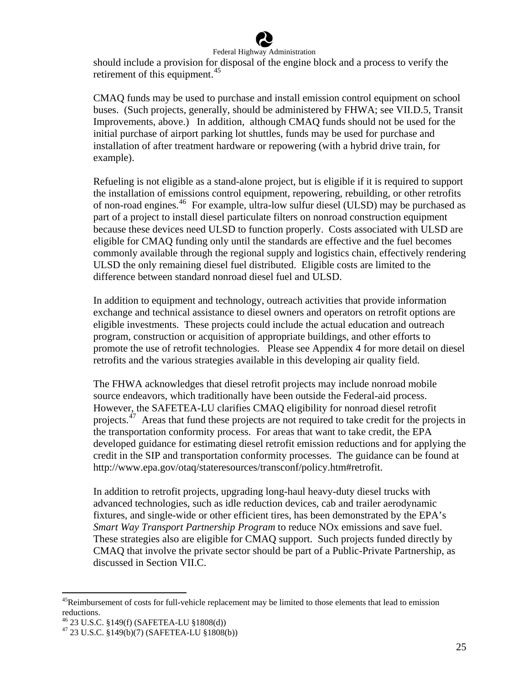

should include a provision for disposal of the engine block and a process to verify the retirement of this equipment.<sup>[45](#page-25-0)</sup>

CMAQ funds may be used to purchase and install emission control equipment on school buses. (Such projects, generally, should be administered by FHWA; see VII.D.5, Transit Improvements, above.) In addition, although CMAQ funds should not be used for the initial purchase of airport parking lot shuttles, funds may be used for purchase and installation of after treatment hardware or repowering (with a hybrid drive train, for example).

Refueling is not eligible as a stand-alone project, but is eligible if it is required to support the installation of emissions control equipment, repowering, rebuilding, or other retrofits of non-road engines.[46](#page-25-1) For example, ultra-low sulfur diesel (ULSD) may be purchased as part of a project to install diesel particulate filters on nonroad construction equipment because these devices need ULSD to function properly. Costs associated with ULSD are eligible for CMAQ funding only until the standards are effective and the fuel becomes commonly available through the regional supply and logistics chain, effectively rendering ULSD the only remaining diesel fuel distributed. Eligible costs are limited to the difference between standard nonroad diesel fuel and ULSD.

In addition to equipment and technology, outreach activities that provide information exchange and technical assistance to diesel owners and operators on retrofit options are eligible investments. These projects could include the actual education and outreach program, construction or acquisition of appropriate buildings, and other efforts to promote the use of retrofit technologies. Please see Appendix 4 for more detail on diesel retrofits and the various strategies available in this developing air quality field.

The FHWA acknowledges that diesel retrofit projects may include nonroad mobile source endeavors, which traditionally have been outside the Federal-aid process. However, the SAFETEA-LU clarifies CMAQ eligibility for nonroad diesel retrofit projects.<sup>[47](#page-25-2)</sup> Areas that fund these projects are not required to take credit for the projects in the transportation conformity process. For areas that want to take credit, the EPA developed guidance for estimating diesel retrofit emission reductions and for applying the credit in the SIP and transportation conformity processes. The guidance can be found at <http://www.epa.gov/otaq/stateresources/transconf/policy.htm#retrofit>.

In addition to retrofit projects, upgrading long-haul heavy-duty diesel trucks with advanced technologies, such as idle reduction devices, cab and trailer aerodynamic fixtures, and single-wide or other efficient tires, has been demonstrated by the EPA's *Smart Way Transport Partnership Program* to reduce NOx emissions and save fuel. These strategies also are eligible for CMAQ support. Such projects funded directly by CMAQ that involve the private sector should be part of a Public-Private Partnership, as discussed in Section VII.C.

<span id="page-25-0"></span><sup>&</sup>lt;sup>45</sup>Reimbursement of costs for full-vehicle replacement may be limited to those elements that lead to emission reductions.

<span id="page-25-1"></span><sup>46 23</sup> U.S.C. §149(f) (SAFETEA-LU §1808(d))

<span id="page-25-2"></span><sup>47 23</sup> U.S.C. §149(b)(7) (SAFETEA-LU §1808(b))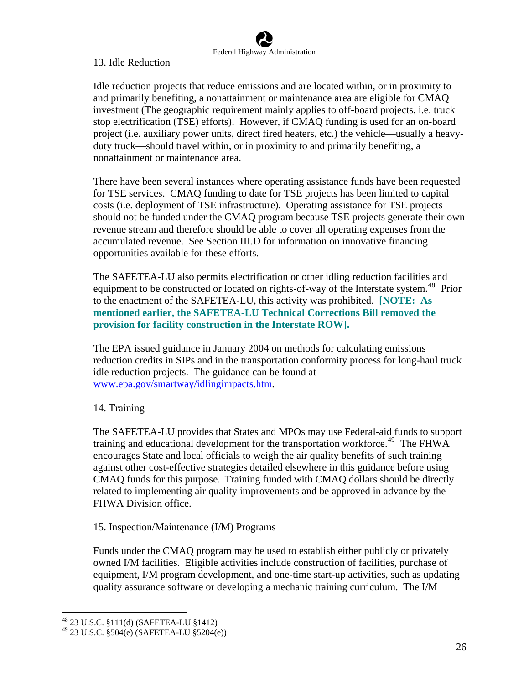# 13. Idle Reduction

Idle reduction projects that reduce emissions and are located within, or in proximity to and primarily benefiting, a nonattainment or maintenance area are eligible for CMAQ investment (The geographic requirement mainly applies to off-board projects, i.e. truck stop electrification (TSE) efforts). However, if CMAQ funding is used for an on-board project (i.e. auxiliary power units, direct fired heaters, etc.) the vehicle—usually a heavyduty truck—should travel within, or in proximity to and primarily benefiting, a nonattainment or maintenance area.

There have been several instances where operating assistance funds have been requested for TSE services. CMAQ funding to date for TSE projects has been limited to capital costs (i.e. deployment of TSE infrastructure). Operating assistance for TSE projects should not be funded under the CMAQ program because TSE projects generate their own revenue stream and therefore should be able to cover all operating expenses from the accumulated revenue. See Section III.D for information on innovative financing opportunities available for these efforts.

The SAFETEA-LU also permits electrification or other idling reduction facilities and equipment to be constructed or located on rights-of-way of the Interstate system.<sup>[48](#page-26-0)</sup> Prior to the enactment of the SAFETEA-LU, this activity was prohibited. **[NOTE: As mentioned earlier, the SAFETEA-LU Technical Corrections Bill removed the provision for facility construction in the Interstate ROW].** 

The EPA issued guidance in January 2004 on methods for calculating emissions reduction credits in SIPs and in the transportation conformity process for long-haul truck idle reduction projects. The guidance can be found at [www.epa.gov/smartway/idlingimpacts.htm.](http://www.epa.gov/smartway/idlingimpacts.htm)

# 14. Training

The SAFETEA-LU provides that States and MPOs may use Federal**-**aid funds to support training and educational development for the transportation workforce.<sup>[49](#page-26-1)</sup> The FHWA encourages State and local officials to weigh the air quality benefits of such training against other cost-effective strategies detailed elsewhere in this guidance before using CMAQ funds for this purpose. Training funded with CMAQ dollars should be directly related to implementing air quality improvements and be approved in advance by the FHWA Division office.

# 15. Inspection/Maintenance (I/M) Programs

Funds under the CMAQ program may be used to establish either publicly or privately owned I/M facilities. Eligible activities include construction of facilities, purchase of equipment, I/M program development, and one-time start-up activities, such as updating quality assurance software or developing a mechanic training curriculum. The I/M

<span id="page-26-0"></span><sup>48 23</sup> U.S.C. §111(d) (SAFETEA-LU §1412)

<span id="page-26-1"></span><sup>49 23</sup> U.S.C. §504(e) (SAFETEA-LU §5204(e))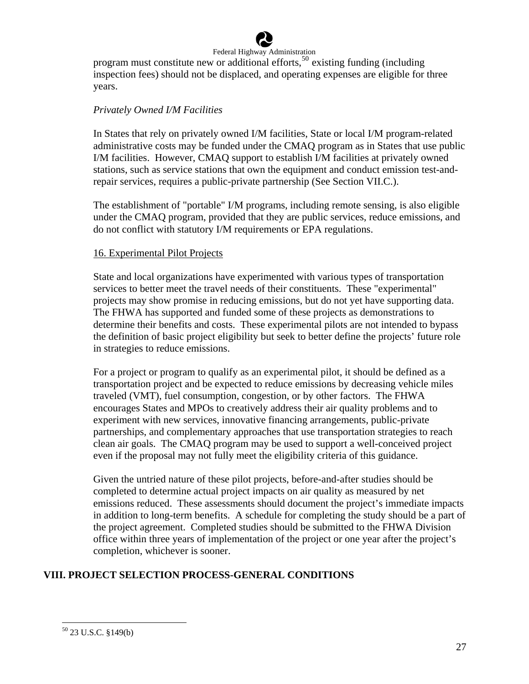

program must constitute new or additional efforts,  $50$  existing funding (including inspection fees) should not be displaced, and operating expenses are eligible for three years.

#### *Privately Owned I/M Facilities*

In States that rely on privately owned I/M facilities, State or local I/M program-related administrative costs may be funded under the CMAQ program as in States that use public I/M facilities. However, CMAQ support to establish I/M facilities at privately owned stations, such as service stations that own the equipment and conduct emission test-andrepair services, requires a public-private partnership (See Section VII.C.).

The establishment of "portable" I/M programs, including remote sensing, is also eligible under the CMAQ program, provided that they are public services, reduce emissions, and do not conflict with statutory I/M requirements or EPA regulations.

#### 16. Experimental Pilot Projects

State and local organizations have experimented with various types of transportation services to better meet the travel needs of their constituents. These "experimental" projects may show promise in reducing emissions, but do not yet have supporting data. The FHWA has supported and funded some of these projects as demonstrations to determine their benefits and costs. These experimental pilots are not intended to bypass the definition of basic project eligibility but seek to better define the projects' future role in strategies to reduce emissions.

For a project or program to qualify as an experimental pilot, it should be defined as a transportation project and be expected to reduce emissions by decreasing vehicle miles traveled (VMT), fuel consumption, congestion, or by other factors. The FHWA encourages States and MPOs to creatively address their air quality problems and to experiment with new services, innovative financing arrangements, public-private partnerships, and complementary approaches that use transportation strategies to reach clean air goals. The CMAQ program may be used to support a well-conceived project even if the proposal may not fully meet the eligibility criteria of this guidance.

Given the untried nature of these pilot projects, before-and-after studies should be completed to determine actual project impacts on air quality as measured by net emissions reduced. These assessments should document the project's immediate impacts in addition to long-term benefits. A schedule for completing the study should be a part of the project agreement. Completed studies should be submitted to the FHWA Division office within three years of implementation of the project or one year after the project's completion, whichever is sooner.

# **VIII. PROJECT SELECTION PROCESS-GENERAL CONDITIONS**

<u>.</u>

<span id="page-27-0"></span><sup>50 23</sup> U.S.C. §149(b)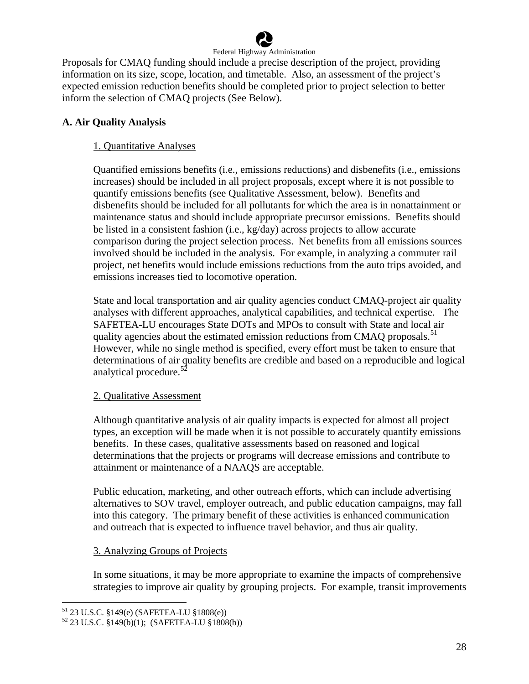

Proposals for CMAQ funding should include a precise description of the project, providing information on its size, scope, location, and timetable. Also, an assessment of the project's expected emission reduction benefits should be completed prior to project selection to better inform the selection of CMAQ projects (See Below).

# **A. Air Quality Analysis**

# 1. Quantitative Analyses

Quantified emissions benefits (i.e., emissions reductions) and disbenefits (i.e., emissions increases) should be included in all project proposals, except where it is not possible to quantify emissions benefits (see Qualitative Assessment, below). Benefits and disbenefits should be included for all pollutants for which the area is in nonattainment or maintenance status and should include appropriate precursor emissions. Benefits should be listed in a consistent fashion (i.e., kg/day) across projects to allow accurate comparison during the project selection process. Net benefits from all emissions sources involved should be included in the analysis. For example, in analyzing a commuter rail project, net benefits would include emissions reductions from the auto trips avoided, and emissions increases tied to locomotive operation.

State and local transportation and air quality agencies conduct CMAQ-project air quality analyses with different approaches, analytical capabilities, and technical expertise. The SAFETEA-LU encourages State DOTs and MPOs to consult with State and local air quality agencies about the estimated emission reductions from CMAQ proposals.<sup>[51](#page-28-0)</sup> However, while no single method is specified, every effort must be taken to ensure that determinations of air quality benefits are credible and based on a reproducible and logical analytical procedure.<sup>[52](#page-28-1)</sup>

# 2. Qualitative Assessment

Although quantitative analysis of air quality impacts is expected for almost all project types, an exception will be made when it is not possible to accurately quantify emissions benefits. In these cases, qualitative assessments based on reasoned and logical determinations that the projects or programs will decrease emissions and contribute to attainment or maintenance of a NAAQS are acceptable.

Public education, marketing, and other outreach efforts, which can include advertising alternatives to SOV travel, employer outreach, and public education campaigns, may fall into this category. The primary benefit of these activities is enhanced communication and outreach that is expected to influence travel behavior, and thus air quality.

# 3. Analyzing Groups of Projects

In some situations, it may be more appropriate to examine the impacts of comprehensive strategies to improve air quality by grouping projects. For example, transit improvements

<sup>1</sup> 51 23 U.S.C. §149(e) (SAFETEA-LU §1808(e))

<span id="page-28-1"></span><span id="page-28-0"></span><sup>52 23</sup> U.S.C. §149(b)(1); (SAFETEA-LU §1808(b))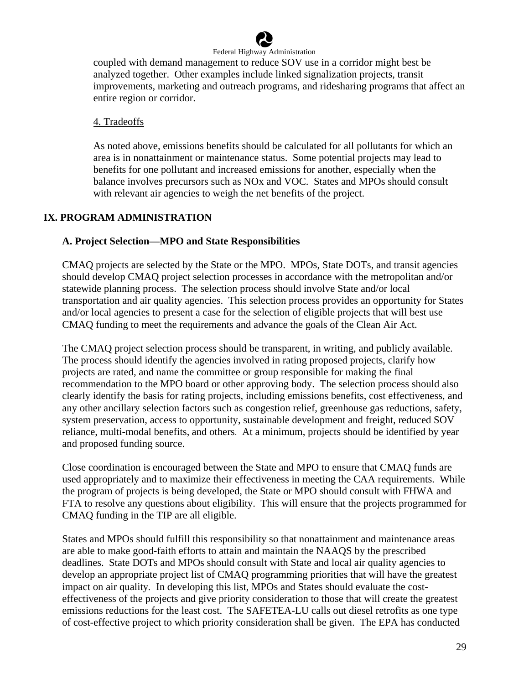

coupled with demand management to reduce SOV use in a corridor might best be analyzed together. Other examples include linked signalization projects, transit improvements, marketing and outreach programs, and ridesharing programs that affect an entire region or corridor.

#### 4. Tradeoffs

As noted above, emissions benefits should be calculated for all pollutants for which an area is in nonattainment or maintenance status. Some potential projects may lead to benefits for one pollutant and increased emissions for another, especially when the balance involves precursors such as NOx and VOC. States and MPOs should consult with relevant air agencies to weigh the net benefits of the project.

#### **IX. PROGRAM ADMINISTRATION**

#### **A. Project Selection—MPO and State Responsibilities**

CMAQ projects are selected by the State or the MPO. MPOs, State DOTs, and transit agencies should develop CMAQ project selection processes in accordance with the metropolitan and/or statewide planning process. The selection process should involve State and/or local transportation and air quality agencies. This selection process provides an opportunity for States and/or local agencies to present a case for the selection of eligible projects that will best use CMAQ funding to meet the requirements and advance the goals of the Clean Air Act.

The CMAQ project selection process should be transparent, in writing, and publicly available. The process should identify the agencies involved in rating proposed projects, clarify how projects are rated, and name the committee or group responsible for making the final recommendation to the MPO board or other approving body. The selection process should also clearly identify the basis for rating projects, including emissions benefits, cost effectiveness, and any other ancillary selection factors such as congestion relief, greenhouse gas reductions, safety, system preservation, access to opportunity, sustainable development and freight, reduced SOV reliance, multi-modal benefits, and others. At a minimum, projects should be identified by year and proposed funding source.

Close coordination is encouraged between the State and MPO to ensure that CMAQ funds are used appropriately and to maximize their effectiveness in meeting the CAA requirements. While the program of projects is being developed, the State or MPO should consult with FHWA and FTA to resolve any questions about eligibility. This will ensure that the projects programmed for CMAQ funding in the TIP are all eligible.

States and MPOs should fulfill this responsibility so that nonattainment and maintenance areas are able to make good-faith efforts to attain and maintain the NAAQS by the prescribed deadlines. State DOTs and MPOs should consult with State and local air quality agencies to develop an appropriate project list of CMAQ programming priorities that will have the greatest impact on air quality*.* In developing this list, MPOs and States should evaluate the costeffectiveness of the projects and give priority consideration to those that will create the greatest emissions reductions for the least cost. The SAFETEA-LU calls out diesel retrofits as one type of cost-effective project to which priority consideration shall be given. The EPA has conducted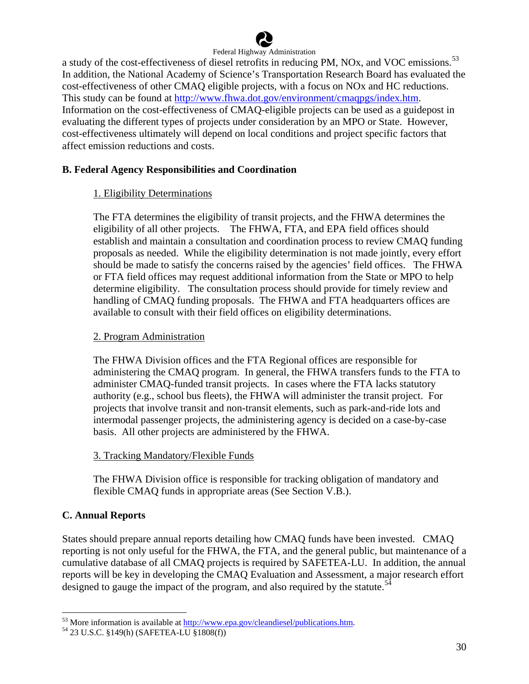

a study of the cost-effectiveness of diesel retrofits in reducing PM, NOx, and VOC emissions.<sup>[53](#page-30-0)</sup> In addition, the National Academy of Science's Transportation Research Board has evaluated the cost-effectiveness of other CMAQ eligible projects, with a focus on NOx and HC reductions. This study can be found at [http://www.fhwa.dot.gov/environment/cmaqpgs/index.htm.](http://www.fhwa.dot.gov/environment/cmaqpgs/index.htm) Information on the cost-effectiveness of CMAQ-eligible projects can be used as a guidepost in evaluating the different types of projects under consideration by an MPO or State. However, cost-effectiveness ultimately will depend on local conditions and project specific factors that affect emission reductions and costs.

# **B. Federal Agency Responsibilities and Coordination**

# 1. Eligibility Determinations

The FTA determines the eligibility of transit projects, and the FHWA determines the eligibility of all other projects. The FHWA, FTA, and EPA field offices should establish and maintain a consultation and coordination process to review CMAQ funding proposals as needed. While the eligibility determination is not made jointly, every effort should be made to satisfy the concerns raised by the agencies' field offices. The FHWA or FTA field offices may request additional information from the State or MPO to help determine eligibility. The consultation process should provide for timely review and handling of CMAQ funding proposals. The FHWA and FTA headquarters offices are available to consult with their field offices on eligibility determinations.

#### 2. Program Administration

The FHWA Division offices and the FTA Regional offices are responsible for administering the CMAQ program. In general, the FHWA transfers funds to the FTA to administer CMAQ-funded transit projects. In cases where the FTA lacks statutory authority (e.g., school bus fleets), the FHWA will administer the transit project. For projects that involve transit and non-transit elements, such as park-and-ride lots and intermodal passenger projects, the administering agency is decided on a case-by-case basis. All other projects are administered by the FHWA.

#### 3. Tracking Mandatory/Flexible Funds

The FHWA Division office is responsible for tracking obligation of mandatory and flexible CMAQ funds in appropriate areas (See Section V.B.).

# **C. Annual Reports**

1

States should prepare annual reports detailing how CMAQ funds have been invested. CMAQ reporting is not only useful for the FHWA, the FTA, and the general public, but maintenance of a cumulative database of all CMAQ projects is required by SAFETEA-LU. In addition, the annual reports will be key in developing the CMAQ Evaluation and Assessment, a major research effort designed to gauge the impact of the program, and also required by the statute.<sup>[54](#page-30-1)</sup>

<span id="page-30-0"></span><sup>&</sup>lt;sup>53</sup> More information is available at  $\frac{http://www.epa.gov/cleandiesel/publications.htm. 54 23 U.S.C. §149(h) (SAFETEA-LU §1808(f))$ 

<span id="page-30-1"></span>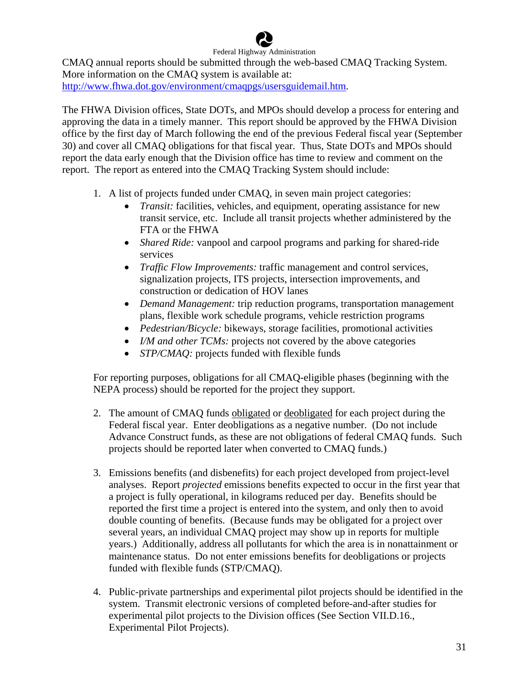Federal Highway Administration CMAQ annual reports should be submitted through the web-based CMAQ Tracking System. More information on the CMAQ system is available at: [http://www.fhwa.dot.gov/environment/cmaqpgs/usersguidemail.htm.](http://www.fhwa.dot.gov/environment/cmaqpgs/usersguidemail.htm)

The FHWA Division offices, State DOTs, and MPOs should develop a process for entering and approving the data in a timely manner. This report should be approved by the FHWA Division office by the first day of March following the end of the previous Federal fiscal year (September 30) and cover all CMAQ obligations for that fiscal year. Thus, State DOTs and MPOs should report the data early enough that the Division office has time to review and comment on the report. The report as entered into the CMAQ Tracking System should include:

- 1. A list of projects funded under CMAQ, in seven main project categories:
	- *Transit:* facilities, vehicles, and equipment, operating assistance for new transit service, etc. Include all transit projects whether administered by the FTA or the FHWA
	- *Shared Ride:* vanpool and carpool programs and parking for shared-ride services
	- *Traffic Flow Improvements:* traffic management and control services, signalization projects, ITS projects, intersection improvements, and construction or dedication of HOV lanes
	- *Demand Management:* trip reduction programs, transportation management plans, flexible work schedule programs, vehicle restriction programs
	- *Pedestrian/Bicycle:* bikeways, storage facilities, promotional activities
	- *I/M and other TCMs:* projects not covered by the above categories
	- *STP/CMAQ:* projects funded with flexible funds

For reporting purposes, obligations for all CMAQ-eligible phases (beginning with the NEPA process) should be reported for the project they support.

- 2. The amount of CMAQ funds obligated or deobligated for each project during the Federal fiscal year. Enter deobligations as a negative number. (Do not include Advance Construct funds, as these are not obligations of federal CMAQ funds. Such projects should be reported later when converted to CMAQ funds.)
- 3. Emissions benefits (and disbenefits) for each project developed from project-level analyses. Report *projected* emissions benefits expected to occur in the first year that a project is fully operational, in kilograms reduced per day. Benefits should be reported the first time a project is entered into the system, and only then to avoid double counting of benefits. (Because funds may be obligated for a project over several years, an individual CMAQ project may show up in reports for multiple years.) Additionally, address all pollutants for which the area is in nonattainment or maintenance status. Do not enter emissions benefits for deobligations or projects funded with flexible funds (STP/CMAQ).
- 4. Public-private partnerships and experimental pilot projects should be identified in the system. Transmit electronic versions of completed before-and-after studies for experimental pilot projects to the Division offices (See Section VII.D.16., Experimental Pilot Projects).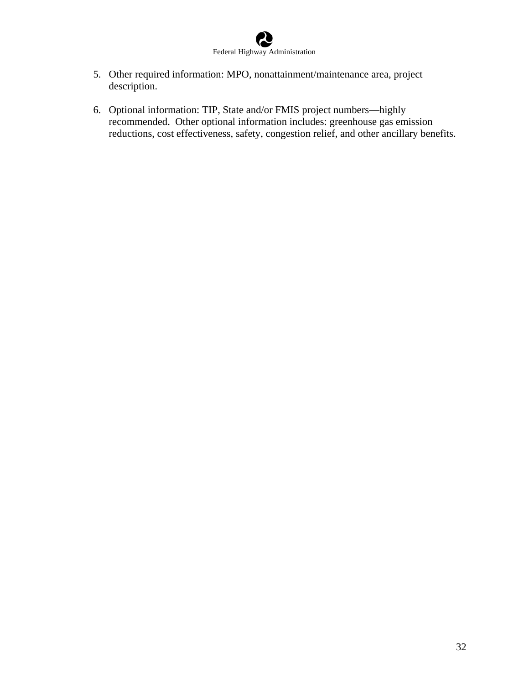

- 5. Other required information: MPO, nonattainment/maintenance area, project description.
- 6. Optional information: TIP, State and/or FMIS project numbers—highly recommended. Other optional information includes: greenhouse gas emission reductions, cost effectiveness, safety, congestion relief, and other ancillary benefits.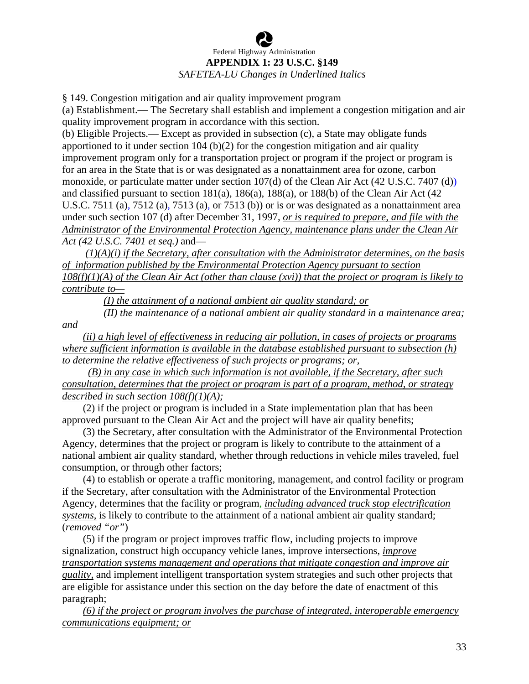# Federal Highway Administration **APPENDIX 1: 23 U.S.C. §149**  *SAFETEA-LU Changes in Underlined Italics*

§ 149. Congestion mitigation and air quality improvement program

(a) Establishment.— The Secretary shall establish and implement a congestion mitigation and air quality improvement program in accordance with this section.

(b) Eligible Projects.— Except as provided in subsection (c), a State may obligate funds apportioned to it under section 104 (b)(2) for the congestion mitigation and air quality improvement program only for a transportation project or program if the project or program is for an area in the State that is or was designated as a nonattainment area for ozone, carbon monoxide, or particulate matter under section 107(d) of the Clean Air Act (42 U.S.C. 7407 (d)) and classified pursuant to section 181(a), 186(a), 188(a), or 188(b) of the Clean Air Act (42 U.S.C. 7511 (a), 7512 (a), 7513 (a), or 7513 (b)) or is or was designated as a nonattainment area under such section 107 (d) after December 31, 1997, *or is required to prepare, and file with the Administrator of the Environmental Protection Agency, maintenance plans under the Clean Air Act (42 U.S.C. 7401 et seq.)* and—

 *(1)(A)(i) if the Secretary, after consultation with the Administrator determines, on the basis of information published by the Environmental Protection Agency pursuant to section 108(f)(1)(A) of the Clean Air Act (other than clause (xvi)) that the project or program is likely to contribute to—*

*(I) the attainment of a national ambient air quality standard; or*

 *(II) the maintenance of a national ambient air quality standard in a maintenance area; and* 

 *(ii) a high level of effectiveness in reducing air pollution, in cases of projects or programs where sufficient information is available in the database established pursuant to subsection (h) to determine the relative effectiveness of such projects or programs; or,*

 *(B) in any case in which such information is not available, if the Secretary, after such consultation, determines that the project or program is part of a program, method, or strategy described in such section 108(f)(1)(A);*

 (2) if the project or program is included in a State implementation plan that has been approved pursuant to the Clean Air Act and the project will have air quality benefits;

 (3) the Secretary, after consultation with the Administrator of the Environmental Protection Agency, determines that the project or program is likely to contribute to the attainment of a national ambient air quality standard, whether through reductions in vehicle miles traveled, fuel consumption, or through other factors;

 (4) to establish or operate a traffic monitoring, management, and control facility or program if the Secretary, after consultation with the Administrator of the Environmental Protection Agency, determines that the facility or program, *including advanced truck stop electrification systems,* is likely to contribute to the attainment of a national ambient air quality standard; (*removed "or"*)

 (5) if the program or project improves traffic flow, including projects to improve signalization, construct high occupancy vehicle lanes, improve intersections, *improve transportation systems management and operations that mitigate congestion and improve air quality,* and implement intelligent transportation system strategies and such other projects that are eligible for assistance under this section on the day before the date of enactment of this paragraph;

 *(6) if the project or program involves the purchase of integrated, interoperable emergency communications equipment; or*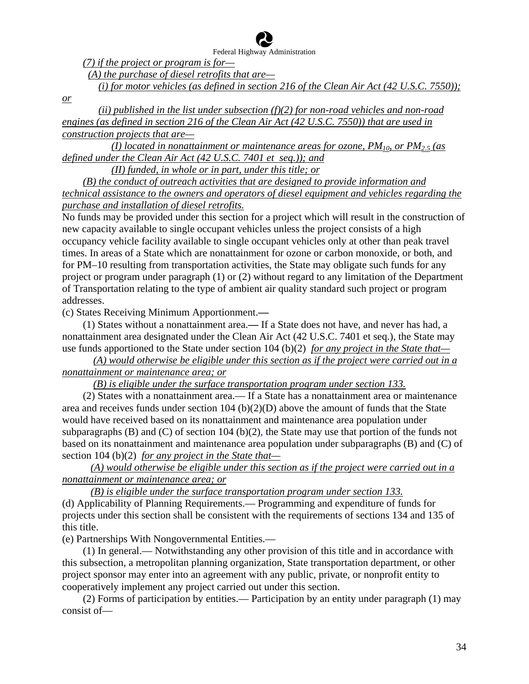*(7) if the project or program is for—*

*(A) the purchase of diesel retrofits that are—*

*(i) for motor vehicles (as defined in section 216 of the Clean Air Act (42 U.S.C. 7550));* 

*or*

 *(ii) published in the list under subsection (f)(2) for non-road vehicles and non-road engines (as defined in section 216 of the Clean Air Act (42 U.S.C. 7550)) that are used in construction projects that are—*

 *(I) located in nonattainment or maintenance areas for ozone, PM10, or PM2.5 (as defined under the Clean Air Act (42 U.S.C. 7401 et seq.)); and*

*(II) funded, in whole or in part, under this title; or*

 *(B) the conduct of outreach activities that are designed to provide information and technical assistance to the owners and operators of diesel equipment and vehicles regarding the purchase and installation of diesel retrofits.*

No funds may be provided under this section for a project which will result in the construction of new capacity available to single occupant vehicles unless the project consists of a high occupancy vehicle facility available to single occupant vehicles only at other than peak travel times. In areas of a State which are nonattainment for ozone or carbon monoxide, or both, and for PM–10 resulting from transportation activities, the State may obligate such funds for any project or program under paragraph (1) or (2) without regard to any limitation of the Department of Transportation relating to the type of ambient air quality standard such project or program addresses.

(c) States Receiving Minimum Apportionment.**—** 

 (1) States without a nonattainment area.**—** If a State does not have, and never has had, a nonattainment area designated under the Clean Air Act (42 U.S.C. 7401 et seq.), the State may use funds apportioned to the State under section 104 (b)(2) *for any project in the State that—*

 *(A) would otherwise be eligible under this section as if the project were carried out in a nonattainment or maintenance area; or*

*(B) is eligible under the surface transportation program under section 133.*

 (2) States with a nonattainment area.— If a State has a nonattainment area or maintenance area and receives funds under section  $104$  (b)(2)(D) above the amount of funds that the State would have received based on its nonattainment and maintenance area population under subparagraphs (B) and (C) of section 104 (b)(2), the State may use that portion of the funds not based on its nonattainment and maintenance area population under subparagraphs (B) and (C) of section 104 (b)(2) *for any project in the State that—*

 *(A) would otherwise be eligible under this section as if the project were carried out in a nonattainment or maintenance area; or*

*(B) is eligible under the surface transportation program under section 133.*

(d) Applicability of Planning Requirements.— Programming and expenditure of funds for projects under this section shall be consistent with the requirements of sections 134 and 135 of this title.

(e) Partnerships With Nongovernmental Entities.—

 (1) In general.— Notwithstanding any other provision of this title and in accordance with this subsection, a metropolitan planning organization, State transportation department, or other project sponsor may enter into an agreement with any public, private, or nonprofit entity to cooperatively implement any project carried out under this section.

 (2) Forms of participation by entities.— Participation by an entity under paragraph (1) may consist of—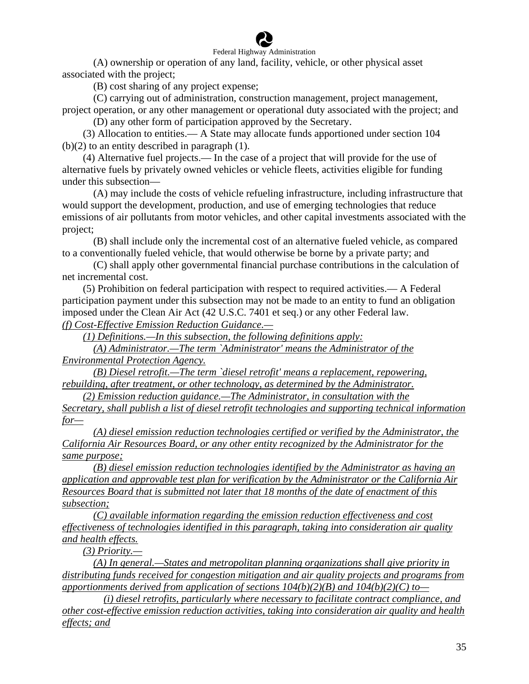

(A) ownership or operation of any land, facility, vehicle, or other physical asset associated with the project;

(B) cost sharing of any project expense;

(C) carrying out of administration, construction management, project management, project operation, or any other management or operational duty associated with the project; and (D) any other form of participation approved by the Secretary.

 (3) Allocation to entities.— A State may allocate funds apportioned under section 104  $(b)(2)$  to an entity described in paragraph  $(1)$ .

 (4) Alternative fuel projects.— In the case of a project that will provide for the use of alternative fuels by privately owned vehicles or vehicle fleets, activities eligible for funding under this subsection—

(A) may include the costs of vehicle refueling infrastructure, including infrastructure that would support the development, production, and use of emerging technologies that reduce emissions of air pollutants from motor vehicles, and other capital investments associated with the project;

(B) shall include only the incremental cost of an alternative fueled vehicle, as compared to a conventionally fueled vehicle, that would otherwise be borne by a private party; and

(C) shall apply other governmental financial purchase contributions in the calculation of net incremental cost.

 (5) Prohibition on federal participation with respect to required activities.— A Federal participation payment under this subsection may not be made to an entity to fund an obligation imposed under the Clean Air Act (42 U.S.C. 7401 et seq.) or any other Federal law. *(f) Cost-Effective Emission Reduction Guidance.—*

*(1) Definitions.—In this subsection, the following definitions apply:*

 *(A) Administrator.—The term `Administrator' means the Administrator of the Environmental Protection Agency.*

 *(B) Diesel retrofit.—The term `diesel retrofit' means a replacement, repowering, rebuilding, after treatment, or other technology, as determined by the Administrator.*

*(2) Emission reduction guidance.—The Administrator, in consultation with the* 

*Secretary, shall publish a list of diesel retrofit technologies and supporting technical information for—*

 *(A) diesel emission reduction technologies certified or verified by the Administrator, the California Air Resources Board, or any other entity recognized by the Administrator for the same purpose;*

 *(B) diesel emission reduction technologies identified by the Administrator as having an application and approvable test plan for verification by the Administrator or the California Air Resources Board that is submitted not later that 18 months of the date of enactment of this subsection;*

 *(C) available information regarding the emission reduction effectiveness and cost effectiveness of technologies identified in this paragraph, taking into consideration air quality and health effects.*

*(3) Priority.—*

 *(A) In general.—States and metropolitan planning organizations shall give priority in distributing funds received for congestion mitigation and air quality projects and programs from apportionments derived from application of sections 104(b)(2)(B) and 104(b)(2)(C) to—*

 *(i) diesel retrofits, particularly where necessary to facilitate contract compliance, and other cost-effective emission reduction activities, taking into consideration air quality and health effects; and*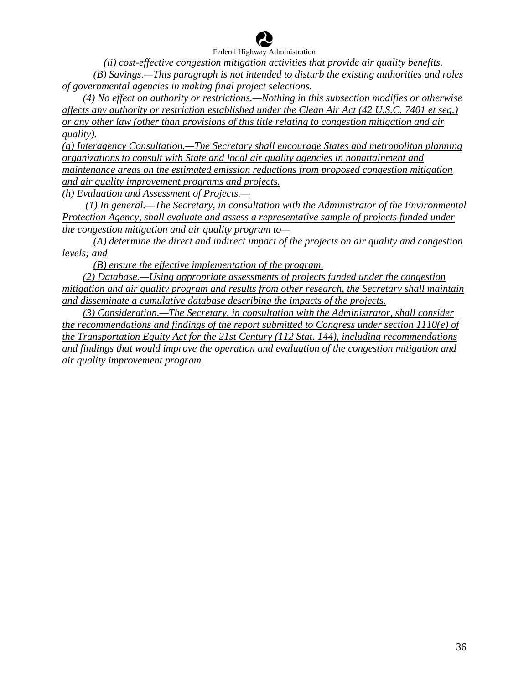

 *(ii) cost-effective congestion mitigation activities that provide air quality benefits. (B) Savings.—This paragraph is not intended to disturb the existing authorities and roles of governmental agencies in making final project selections.*

 *(4) No effect on authority or restrictions.—Nothing in this subsection modifies or otherwise affects any authority or restriction established under the Clean Air Act (42 U.S.C. 7401 et seq.) or any other law (other than provisions of this title relating to congestion mitigation and air quality).*

*(g) Interagency Consultation.—The Secretary shall encourage States and metropolitan planning organizations to consult with State and local air quality agencies in nonattainment and maintenance areas on the estimated emission reductions from proposed congestion mitigation and air quality improvement programs and projects. (h) Evaluation and Assessment of Projects.—*

 *(1) In general.—The Secretary, in consultation with the Administrator of the Environmental Protection Agency, shall evaluate and assess a representative sample of projects funded under the congestion mitigation and air quality program to—*

 *(A) determine the direct and indirect impact of the projects on air quality and congestion levels; and*

*(B) ensure the effective implementation of the program.*

 *(2) Database.—Using appropriate assessments of projects funded under the congestion mitigation and air quality program and results from other research, the Secretary shall maintain and disseminate a cumulative database describing the impacts of the projects.*

 *(3) Consideration.—The Secretary, in consultation with the Administrator, shall consider the recommendations and findings of the report submitted to Congress under section 1110(e) of the Transportation Equity Act for the 21st Century (112 Stat. 144), including recommendations and findings that would improve the operation and evaluation of the congestion mitigation and air quality improvement program.*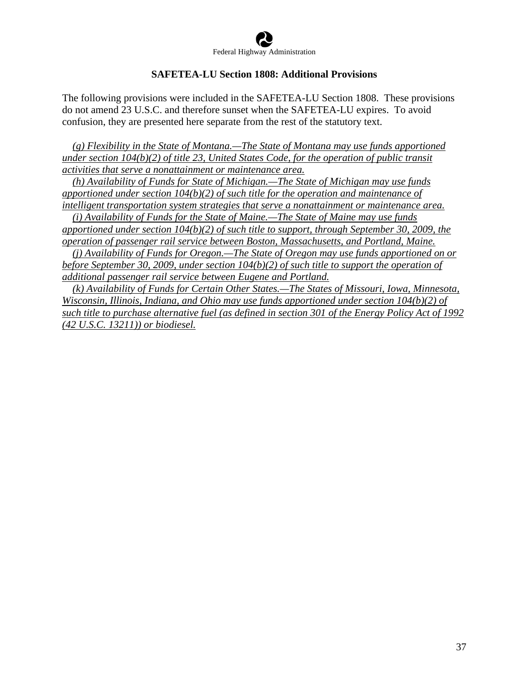

#### **SAFETEA-LU Section 1808: Additional Provisions**

The following provisions were included in the SAFETEA-LU Section 1808. These provisions do not amend 23 U.S.C. and therefore sunset when the SAFETEA-LU expires. To avoid confusion, they are presented here separate from the rest of the statutory text.

 *(g) Flexibility in the State of Montana.—The State of Montana may use funds apportioned under section 104(b)(2) of title 23, United States Code, for the operation of public transit activities that serve a nonattainment or maintenance area.*

 *(h) Availability of Funds for State of Michigan.—The State of Michigan may use funds apportioned under section 104(b)(2) of such title for the operation and maintenance of intelligent transportation system strategies that serve a nonattainment or maintenance area.*

 *(i) Availability of Funds for the State of Maine.—The State of Maine may use funds apportioned under section 104(b)(2) of such title to support, through September 30, 2009, the operation of passenger rail service between Boston, Massachusetts, and Portland, Maine.*

 *(j) Availability of Funds for Oregon.—The State of Oregon may use funds apportioned on or before September 30, 2009, under section 104(b)(2) of such title to support the operation of additional passenger rail service between Eugene and Portland.*

 *(k) Availability of Funds for Certain Other States.—The States of Missouri, Iowa, Minnesota, Wisconsin, Illinois, Indiana, and Ohio may use funds apportioned under section 104(b)(2) of such title to purchase alternative fuel (as defined in section 301 of the Energy Policy Act of 1992 (42 U.S.C. 13211)) or biodiesel.*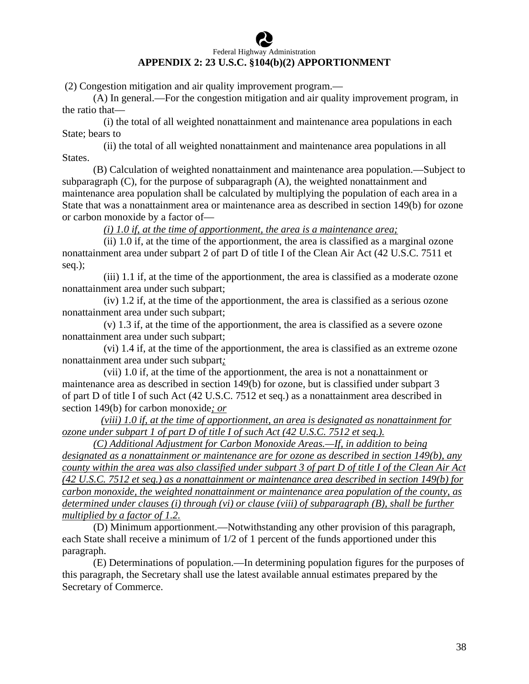# Federal Highway Administration **APPENDIX 2: 23 U.S.C. §104(b)(2) APPORTIONMENT**

(2) Congestion mitigation and air quality improvement program.—

 (A) In general.—For the congestion mitigation and air quality improvement program, in the ratio that—

 (i) the total of all weighted nonattainment and maintenance area populations in each State; bears to

 (ii) the total of all weighted nonattainment and maintenance area populations in all States.

 (B) Calculation of weighted nonattainment and maintenance area population.—Subject to subparagraph (C), for the purpose of subparagraph (A), the weighted nonattainment and maintenance area population shall be calculated by multiplying the population of each area in a State that was a nonattainment area or maintenance area as described in section 149(b) for ozone or carbon monoxide by a factor of—

*(i) 1.0 if, at the time of apportionment, the area is a maintenance area;*

 (ii) 1.0 if, at the time of the apportionment, the area is classified as a marginal ozone nonattainment area under subpart 2 of part D of title I of the Clean Air Act (42 U.S.C. 7511 et seq.);

 (iii) 1.1 if, at the time of the apportionment, the area is classified as a moderate ozone nonattainment area under such subpart;

 (iv) 1.2 if, at the time of the apportionment, the area is classified as a serious ozone nonattainment area under such subpart;

 (v) 1.3 if, at the time of the apportionment, the area is classified as a severe ozone nonattainment area under such subpart;

 (vi) 1.4 if, at the time of the apportionment, the area is classified as an extreme ozone nonattainment area under such subpart*;*

 (vii) 1.0 if, at the time of the apportionment, the area is not a nonattainment or maintenance area as described in section 149(b) for ozone, but is classified under subpart 3 of part D of title I of such Act (42 U.S.C. 7512 et seq.) as a nonattainment area described in section 149(b) for carbon monoxide*; or*

 *(viii) 1.0 if, at the time of apportionment, an area is designated as nonattainment for ozone under subpart 1 of part D of title I of such Act (42 U.S.C. 7512 et seq.).*

 *(C) Additional Adjustment for Carbon Monoxide Areas.—If, in addition to being designated as a nonattainment or maintenance are for ozone as described in section 149(b), any county within the area was also classified under subpart 3 of part D of title I of the Clean Air Act (42 U.S.C. 7512 et seq.) as a nonattainment or maintenance area described in section 149(b) for carbon monoxide, the weighted nonattainment or maintenance area population of the county, as determined under clauses (i) through (vi) or clause (viii) of subparagraph (B), shall be further multiplied by a factor of 1.2.*

 (D) Minimum apportionment.—Notwithstanding any other provision of this paragraph, each State shall receive a minimum of 1/2 of 1 percent of the funds apportioned under this paragraph.

 (E) Determinations of population.—In determining population figures for the purposes of this paragraph, the Secretary shall use the latest available annual estimates prepared by the Secretary of Commerce.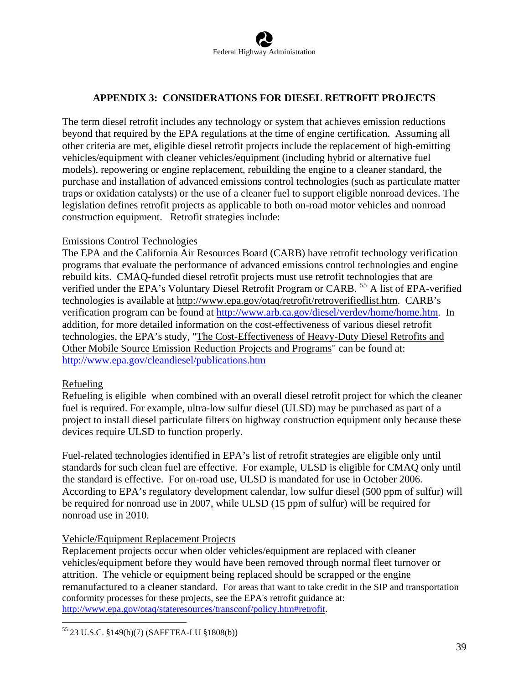# **APPENDIX 3: CONSIDERATIONS FOR DIESEL RETROFIT PROJECTS**

The term diesel retrofit includes any technology or system that achieves emission reductions beyond that required by the EPA regulations at the time of engine certification. Assuming all other criteria are met, eligible diesel retrofit projects include the replacement of high-emitting vehicles/equipment with cleaner vehicles/equipment (including hybrid or alternative fuel models), repowering or engine replacement, rebuilding the engine to a cleaner standard, the purchase and installation of advanced emissions control technologies (such as particulate matter traps or oxidation catalysts) or the use of a cleaner fuel to support eligible nonroad devices. The legislation defines retrofit projects as applicable to both on-road motor vehicles and nonroad construction equipment. Retrofit strategies include:

#### Emissions Control Technologies

The EPA and the California Air Resources Board (CARB) have retrofit technology verification programs that evaluate the performance of advanced emissions control technologies and engine rebuild kits. CMAQ-funded diesel retrofit projects must use retrofit technologies that are verified under the EPA's Voluntary Diesel Retrofit Program or CARB.<sup>[55](#page-39-0)</sup> A list of EPA-verified technologies is available at <http://www.epa.gov/otaq/retrofit/retroverifiedlist.htm>. CARB's verification program can be found at <http://www.arb.ca.gov/diesel/verdev/home/home.htm>. In addition, for more detailed information on the cost-effectiveness of various diesel retrofit technologies, the EPA's study, "[The Cost-Effectiveness of Heavy-Duty Diesel Retrofits and](http://www.epa.gov/otaq/stateresources/policy/general/420b07006.pdf)  [Other Mobile Source Emission Reduction Projects and Programs](http://www.epa.gov/otaq/stateresources/policy/general/420b07006.pdf)" can be found at: <http://www.epa.gov/cleandiesel/publications.htm>

#### Refueling

Refueling is eligible when combined with an overall diesel retrofit project for which the cleaner fuel is required. For example, ultra-low sulfur diesel (ULSD) may be purchased as part of a project to install diesel particulate filters on highway construction equipment only because these devices require ULSD to function properly.

Fuel-related technologies identified in EPA's list of retrofit strategies are eligible only until standards for such clean fuel are effective. For example, ULSD is eligible for CMAQ only until the standard is effective. For on-road use, ULSD is mandated for use in October 2006. According to EPA's regulatory development calendar, low sulfur diesel (500 ppm of sulfur) will be required for nonroad use in 2007, while ULSD (15 ppm of sulfur) will be required for nonroad use in 2010.

# Vehicle/Equipment Replacement Projects

Replacement projects occur when older vehicles/equipment are replaced with cleaner vehicles/equipment before they would have been removed through normal fleet turnover or attrition. The vehicle or equipment being replaced should be scrapped or the engine remanufactured to a cleaner standard. For areas that want to take credit in the SIP and transportation conformity processes for these projects, see the EPA's retrofit guidance at: [http://www.epa.gov/otaq/stateresources/transconf/policy.htm#retrofit.](http://www.epa.gov/otaq/stateresources/transconf/policy.htm#retrofit)

<span id="page-39-0"></span><sup>&</sup>lt;u>.</u> 55 23 U.S.C. §149(b)(7) (SAFETEA-LU §1808(b))